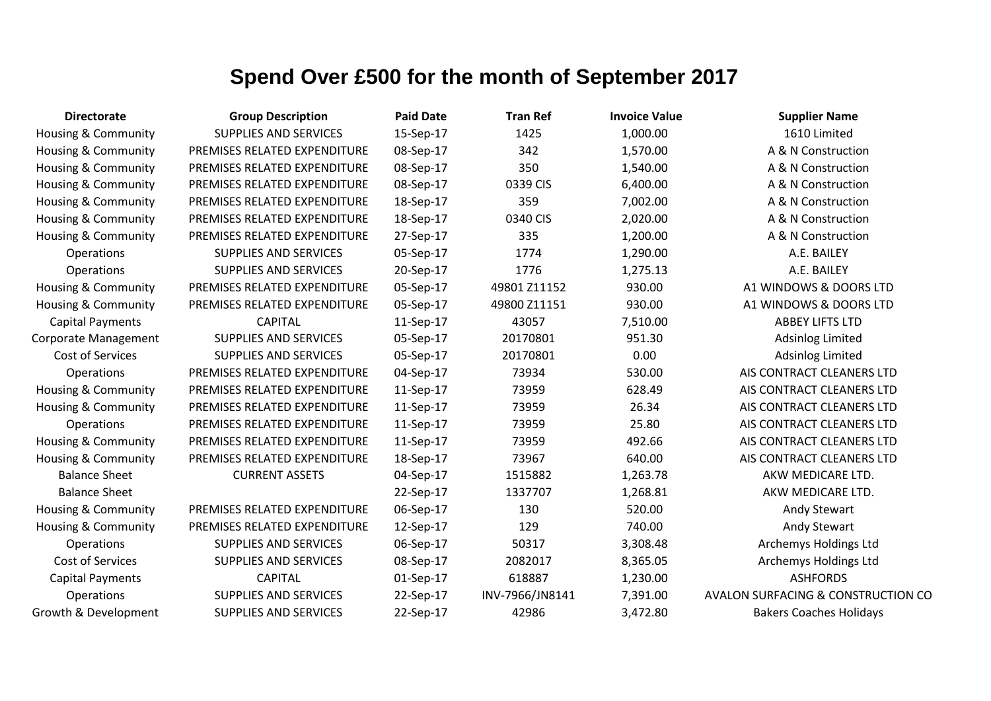| <b>Directorate</b>             | <b>Group Description</b>     | <b>Paid Date</b> | <b>Tran Ref</b> | <b>Invoice Value</b> | <b>Supplier Name</b>               |
|--------------------------------|------------------------------|------------------|-----------------|----------------------|------------------------------------|
| Housing & Community            | <b>SUPPLIES AND SERVICES</b> | 15-Sep-17        | 1425            | 1,000.00             | 1610 Limited                       |
| Housing & Community            | PREMISES RELATED EXPENDITURE | 08-Sep-17        | 342             | 1,570.00             | A & N Construction                 |
| Housing & Community            | PREMISES RELATED EXPENDITURE | 08-Sep-17        | 350             | 1,540.00             | A & N Construction                 |
| <b>Housing &amp; Community</b> | PREMISES RELATED EXPENDITURE | 08-Sep-17        | 0339 CIS        | 6,400.00             | A & N Construction                 |
| Housing & Community            | PREMISES RELATED EXPENDITURE | 18-Sep-17        | 359             | 7,002.00             | A & N Construction                 |
| <b>Housing &amp; Community</b> | PREMISES RELATED EXPENDITURE | 18-Sep-17        | 0340 CIS        | 2,020.00             | A & N Construction                 |
| Housing & Community            | PREMISES RELATED EXPENDITURE | 27-Sep-17        | 335             | 1,200.00             | A & N Construction                 |
| Operations                     | <b>SUPPLIES AND SERVICES</b> | 05-Sep-17        | 1774            | 1,290.00             | A.E. BAILEY                        |
| Operations                     | <b>SUPPLIES AND SERVICES</b> | 20-Sep-17        | 1776            | 1,275.13             | A.E. BAILEY                        |
| Housing & Community            | PREMISES RELATED EXPENDITURE | 05-Sep-17        | 49801 Z11152    | 930.00               | A1 WINDOWS & DOORS LTD             |
| <b>Housing &amp; Community</b> | PREMISES RELATED EXPENDITURE | 05-Sep-17        | 49800 Z11151    | 930.00               | A1 WINDOWS & DOORS LTD             |
| <b>Capital Payments</b>        | <b>CAPITAL</b>               | 11-Sep-17        | 43057           | 7,510.00             | <b>ABBEY LIFTS LTD</b>             |
| <b>Corporate Management</b>    | <b>SUPPLIES AND SERVICES</b> | 05-Sep-17        | 20170801        | 951.30               | <b>Adsinlog Limited</b>            |
| Cost of Services               | <b>SUPPLIES AND SERVICES</b> | 05-Sep-17        | 20170801        | 0.00                 | <b>Adsinlog Limited</b>            |
| Operations                     | PREMISES RELATED EXPENDITURE | 04-Sep-17        | 73934           | 530.00               | AIS CONTRACT CLEANERS LTD          |
| Housing & Community            | PREMISES RELATED EXPENDITURE | 11-Sep-17        | 73959           | 628.49               | AIS CONTRACT CLEANERS LTD          |
| <b>Housing &amp; Community</b> | PREMISES RELATED EXPENDITURE | 11-Sep-17        | 73959           | 26.34                | AIS CONTRACT CLEANERS LTD          |
| Operations                     | PREMISES RELATED EXPENDITURE | 11-Sep-17        | 73959           | 25.80                | AIS CONTRACT CLEANERS LTD          |
| <b>Housing &amp; Community</b> | PREMISES RELATED EXPENDITURE | 11-Sep-17        | 73959           | 492.66               | AIS CONTRACT CLEANERS LTD          |
| <b>Housing &amp; Community</b> | PREMISES RELATED EXPENDITURE | 18-Sep-17        | 73967           | 640.00               | AIS CONTRACT CLEANERS LTD          |
| <b>Balance Sheet</b>           | <b>CURRENT ASSETS</b>        | 04-Sep-17        | 1515882         | 1,263.78             | AKW MEDICARE LTD.                  |
| <b>Balance Sheet</b>           |                              | 22-Sep-17        | 1337707         | 1,268.81             | AKW MEDICARE LTD.                  |
| <b>Housing &amp; Community</b> | PREMISES RELATED EXPENDITURE | 06-Sep-17        | 130             | 520.00               | Andy Stewart                       |
| Housing & Community            | PREMISES RELATED EXPENDITURE | 12-Sep-17        | 129             | 740.00               | Andy Stewart                       |
| Operations                     | <b>SUPPLIES AND SERVICES</b> | 06-Sep-17        | 50317           | 3,308.48             | <b>Archemys Holdings Ltd</b>       |
| Cost of Services               | <b>SUPPLIES AND SERVICES</b> | 08-Sep-17        | 2082017         | 8,365.05             | <b>Archemys Holdings Ltd</b>       |
| <b>Capital Payments</b>        | <b>CAPITAL</b>               | 01-Sep-17        | 618887          | 1,230.00             | <b>ASHFORDS</b>                    |
| Operations                     | <b>SUPPLIES AND SERVICES</b> | 22-Sep-17        | INV-7966/JN8141 | 7,391.00             | AVALON SURFACING & CONSTRUCTION CO |
| Growth & Development           | <b>SUPPLIES AND SERVICES</b> | 22-Sep-17        | 42986           | 3,472.80             | <b>Bakers Coaches Holidays</b>     |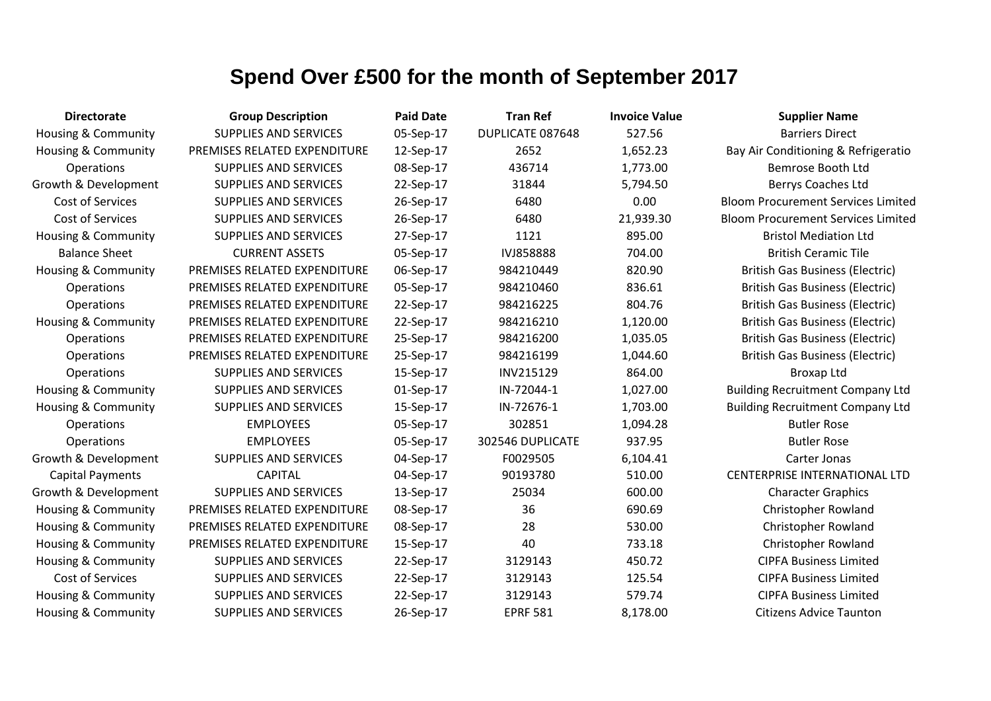| <b>Directorate</b>             | <b>Group Description</b>     | <b>Paid Date</b> | <b>Tran Ref</b>  | <b>Invoice Value</b> | <b>Supplier Name</b>                      |
|--------------------------------|------------------------------|------------------|------------------|----------------------|-------------------------------------------|
| Housing & Community            | <b>SUPPLIES AND SERVICES</b> | 05-Sep-17        | DUPLICATE 087648 | 527.56               | <b>Barriers Direct</b>                    |
| <b>Housing &amp; Community</b> | PREMISES RELATED EXPENDITURE | 12-Sep-17        | 2652             | 1,652.23             | Bay Air Conditioning & Refrigeratio       |
| Operations                     | <b>SUPPLIES AND SERVICES</b> | 08-Sep-17        | 436714           | 1,773.00             | Bemrose Booth Ltd                         |
| Growth & Development           | <b>SUPPLIES AND SERVICES</b> | 22-Sep-17        | 31844            | 5,794.50             | Berrys Coaches Ltd                        |
| Cost of Services               | SUPPLIES AND SERVICES        | 26-Sep-17        | 6480             | 0.00                 | <b>Bloom Procurement Services Limited</b> |
| Cost of Services               | <b>SUPPLIES AND SERVICES</b> | 26-Sep-17        | 6480             | 21,939.30            | <b>Bloom Procurement Services Limited</b> |
| <b>Housing &amp; Community</b> | SUPPLIES AND SERVICES        | 27-Sep-17        | 1121             | 895.00               | <b>Bristol Mediation Ltd</b>              |
| <b>Balance Sheet</b>           | <b>CURRENT ASSETS</b>        | 05-Sep-17        | <b>IVJ858888</b> | 704.00               | <b>British Ceramic Tile</b>               |
| <b>Housing &amp; Community</b> | PREMISES RELATED EXPENDITURE | 06-Sep-17        | 984210449        | 820.90               | <b>British Gas Business (Electric)</b>    |
| Operations                     | PREMISES RELATED EXPENDITURE | 05-Sep-17        | 984210460        | 836.61               | <b>British Gas Business (Electric)</b>    |
| Operations                     | PREMISES RELATED EXPENDITURE | 22-Sep-17        | 984216225        | 804.76               | <b>British Gas Business (Electric)</b>    |
| <b>Housing &amp; Community</b> | PREMISES RELATED EXPENDITURE | 22-Sep-17        | 984216210        | 1,120.00             | <b>British Gas Business (Electric)</b>    |
| Operations                     | PREMISES RELATED EXPENDITURE | 25-Sep-17        | 984216200        | 1,035.05             | <b>British Gas Business (Electric)</b>    |
| Operations                     | PREMISES RELATED EXPENDITURE | 25-Sep-17        | 984216199        | 1,044.60             | <b>British Gas Business (Electric)</b>    |
| Operations                     | <b>SUPPLIES AND SERVICES</b> | 15-Sep-17        | INV215129        | 864.00               | <b>Broxap Ltd</b>                         |
| <b>Housing &amp; Community</b> | <b>SUPPLIES AND SERVICES</b> | 01-Sep-17        | IN-72044-1       | 1,027.00             | <b>Building Recruitment Company Ltd</b>   |
| <b>Housing &amp; Community</b> | <b>SUPPLIES AND SERVICES</b> | 15-Sep-17        | IN-72676-1       | 1,703.00             | <b>Building Recruitment Company Ltd</b>   |
| Operations                     | <b>EMPLOYEES</b>             | 05-Sep-17        | 302851           | 1,094.28             | <b>Butler Rose</b>                        |
| Operations                     | <b>EMPLOYEES</b>             | 05-Sep-17        | 302546 DUPLICATE | 937.95               | <b>Butler Rose</b>                        |
| Growth & Development           | <b>SUPPLIES AND SERVICES</b> | 04-Sep-17        | F0029505         | 6,104.41             | Carter Jonas                              |
| <b>Capital Payments</b>        | <b>CAPITAL</b>               | 04-Sep-17        | 90193780         | 510.00               | <b>CENTERPRISE INTERNATIONAL LTD</b>      |
| Growth & Development           | <b>SUPPLIES AND SERVICES</b> | 13-Sep-17        | 25034            | 600.00               | <b>Character Graphics</b>                 |
| <b>Housing &amp; Community</b> | PREMISES RELATED EXPENDITURE | 08-Sep-17        | 36               | 690.69               | <b>Christopher Rowland</b>                |
| <b>Housing &amp; Community</b> | PREMISES RELATED EXPENDITURE | 08-Sep-17        | 28               | 530.00               | <b>Christopher Rowland</b>                |
| Housing & Community            | PREMISES RELATED EXPENDITURE | 15-Sep-17        | 40               | 733.18               | <b>Christopher Rowland</b>                |
| <b>Housing &amp; Community</b> | <b>SUPPLIES AND SERVICES</b> | 22-Sep-17        | 3129143          | 450.72               | <b>CIPFA Business Limited</b>             |
| <b>Cost of Services</b>        | <b>SUPPLIES AND SERVICES</b> | 22-Sep-17        | 3129143          | 125.54               | <b>CIPFA Business Limited</b>             |
| <b>Housing &amp; Community</b> | <b>SUPPLIES AND SERVICES</b> | 22-Sep-17        | 3129143          | 579.74               | <b>CIPFA Business Limited</b>             |
| <b>Housing &amp; Community</b> | <b>SUPPLIES AND SERVICES</b> | 26-Sep-17        | <b>EPRF 581</b>  | 8,178.00             | <b>Citizens Advice Taunton</b>            |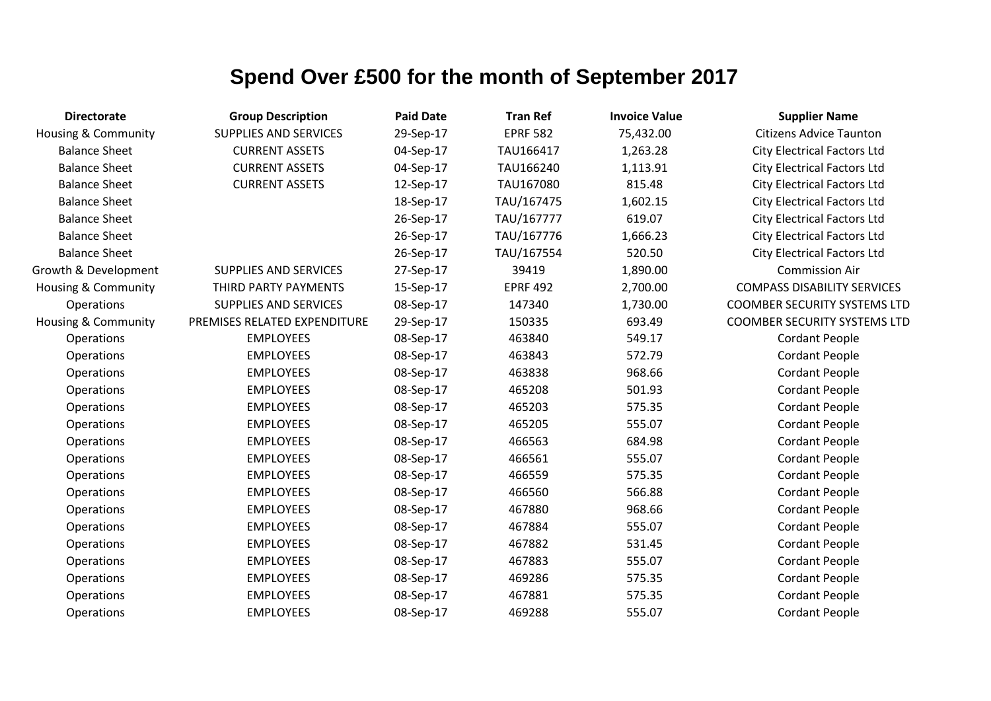| <b>Directorate</b>             | <b>Group Description</b>     | <b>Paid Date</b> | <b>Tran Ref</b> | <b>Invoice Value</b> | <b>Supplier Name</b>                |
|--------------------------------|------------------------------|------------------|-----------------|----------------------|-------------------------------------|
| <b>Housing &amp; Community</b> | <b>SUPPLIES AND SERVICES</b> | 29-Sep-17        | <b>EPRF 582</b> | 75,432.00            | <b>Citizens Advice Taunton</b>      |
| <b>Balance Sheet</b>           | <b>CURRENT ASSETS</b>        | 04-Sep-17        | TAU166417       | 1,263.28             | <b>City Electrical Factors Ltd</b>  |
| <b>Balance Sheet</b>           | <b>CURRENT ASSETS</b>        | 04-Sep-17        | TAU166240       | 1,113.91             | <b>City Electrical Factors Ltd</b>  |
| <b>Balance Sheet</b>           | <b>CURRENT ASSETS</b>        | 12-Sep-17        | TAU167080       | 815.48               | <b>City Electrical Factors Ltd</b>  |
| <b>Balance Sheet</b>           |                              | 18-Sep-17        | TAU/167475      | 1,602.15             | <b>City Electrical Factors Ltd</b>  |
| <b>Balance Sheet</b>           |                              | 26-Sep-17        | TAU/167777      | 619.07               | <b>City Electrical Factors Ltd</b>  |
| <b>Balance Sheet</b>           |                              | 26-Sep-17        | TAU/167776      | 1,666.23             | <b>City Electrical Factors Ltd</b>  |
| <b>Balance Sheet</b>           |                              | 26-Sep-17        | TAU/167554      | 520.50               | <b>City Electrical Factors Ltd</b>  |
| Growth & Development           | <b>SUPPLIES AND SERVICES</b> | 27-Sep-17        | 39419           | 1,890.00             | <b>Commission Air</b>               |
| Housing & Community            | THIRD PARTY PAYMENTS         | 15-Sep-17        | <b>EPRF 492</b> | 2,700.00             | <b>COMPASS DISABILITY SERVICES</b>  |
| Operations                     | <b>SUPPLIES AND SERVICES</b> | 08-Sep-17        | 147340          | 1,730.00             | <b>COOMBER SECURITY SYSTEMS LTD</b> |
| <b>Housing &amp; Community</b> | PREMISES RELATED EXPENDITURE | 29-Sep-17        | 150335          | 693.49               | <b>COOMBER SECURITY SYSTEMS LTD</b> |
| Operations                     | <b>EMPLOYEES</b>             | 08-Sep-17        | 463840          | 549.17               | <b>Cordant People</b>               |
| Operations                     | <b>EMPLOYEES</b>             | 08-Sep-17        | 463843          | 572.79               | <b>Cordant People</b>               |
| Operations                     | <b>EMPLOYEES</b>             | 08-Sep-17        | 463838          | 968.66               | <b>Cordant People</b>               |
| Operations                     | <b>EMPLOYEES</b>             | 08-Sep-17        | 465208          | 501.93               | <b>Cordant People</b>               |
| Operations                     | <b>EMPLOYEES</b>             | 08-Sep-17        | 465203          | 575.35               | <b>Cordant People</b>               |
| Operations                     | <b>EMPLOYEES</b>             | 08-Sep-17        | 465205          | 555.07               | <b>Cordant People</b>               |
| Operations                     | <b>EMPLOYEES</b>             | 08-Sep-17        | 466563          | 684.98               | <b>Cordant People</b>               |
| Operations                     | <b>EMPLOYEES</b>             | 08-Sep-17        | 466561          | 555.07               | <b>Cordant People</b>               |
| Operations                     | <b>EMPLOYEES</b>             | 08-Sep-17        | 466559          | 575.35               | <b>Cordant People</b>               |
| Operations                     | <b>EMPLOYEES</b>             | 08-Sep-17        | 466560          | 566.88               | <b>Cordant People</b>               |
| Operations                     | <b>EMPLOYEES</b>             | 08-Sep-17        | 467880          | 968.66               | <b>Cordant People</b>               |
| Operations                     | <b>EMPLOYEES</b>             | 08-Sep-17        | 467884          | 555.07               | <b>Cordant People</b>               |
| Operations                     | <b>EMPLOYEES</b>             | 08-Sep-17        | 467882          | 531.45               | <b>Cordant People</b>               |
| Operations                     | <b>EMPLOYEES</b>             | 08-Sep-17        | 467883          | 555.07               | <b>Cordant People</b>               |
| Operations                     | <b>EMPLOYEES</b>             | 08-Sep-17        | 469286          | 575.35               | <b>Cordant People</b>               |
| Operations                     | <b>EMPLOYEES</b>             | 08-Sep-17        | 467881          | 575.35               | <b>Cordant People</b>               |
| Operations                     | <b>EMPLOYEES</b>             | 08-Sep-17        | 469288          | 555.07               | <b>Cordant People</b>               |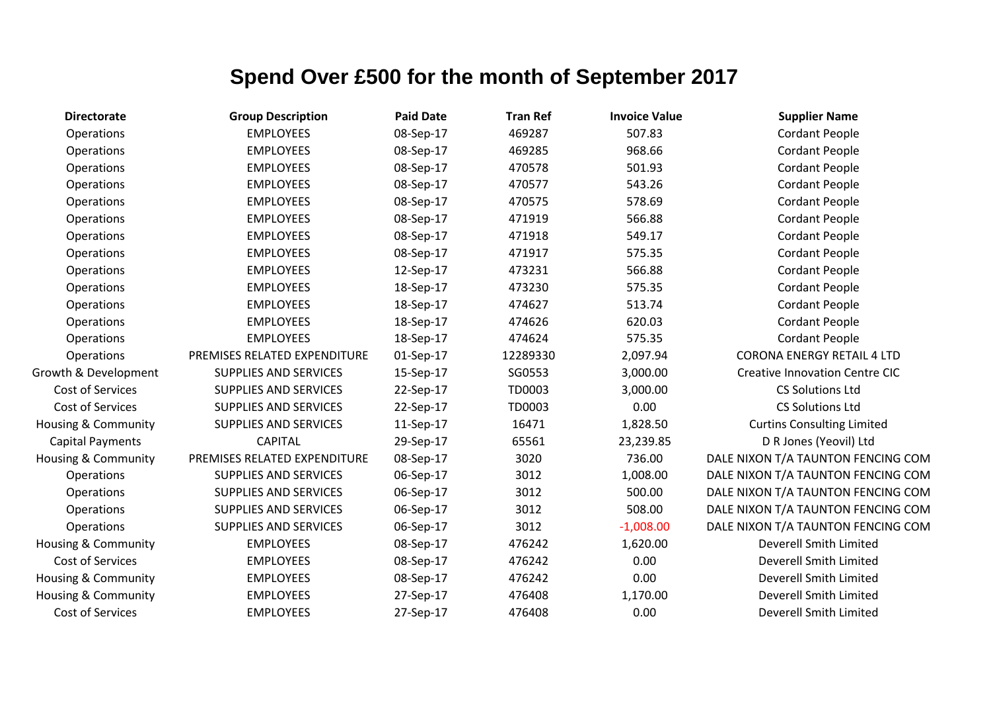| <b>Directorate</b>      | <b>Group Description</b>     | <b>Paid Date</b> | <b>Tran Ref</b> | <b>Invoice Value</b> | <b>Supplier Name</b>                  |
|-------------------------|------------------------------|------------------|-----------------|----------------------|---------------------------------------|
| Operations              | <b>EMPLOYEES</b>             | 08-Sep-17        | 469287          | 507.83               | <b>Cordant People</b>                 |
| Operations              | <b>EMPLOYEES</b>             | 08-Sep-17        | 469285          | 968.66               | <b>Cordant People</b>                 |
| Operations              | <b>EMPLOYEES</b>             | 08-Sep-17        | 470578          | 501.93               | <b>Cordant People</b>                 |
| Operations              | <b>EMPLOYEES</b>             | 08-Sep-17        | 470577          | 543.26               | <b>Cordant People</b>                 |
| Operations              | <b>EMPLOYEES</b>             | 08-Sep-17        | 470575          | 578.69               | <b>Cordant People</b>                 |
| Operations              | <b>EMPLOYEES</b>             | 08-Sep-17        | 471919          | 566.88               | <b>Cordant People</b>                 |
| Operations              | <b>EMPLOYEES</b>             | 08-Sep-17        | 471918          | 549.17               | <b>Cordant People</b>                 |
| Operations              | <b>EMPLOYEES</b>             | 08-Sep-17        | 471917          | 575.35               | <b>Cordant People</b>                 |
| Operations              | <b>EMPLOYEES</b>             | 12-Sep-17        | 473231          | 566.88               | <b>Cordant People</b>                 |
| Operations              | <b>EMPLOYEES</b>             | 18-Sep-17        | 473230          | 575.35               | <b>Cordant People</b>                 |
| Operations              | <b>EMPLOYEES</b>             | 18-Sep-17        | 474627          | 513.74               | <b>Cordant People</b>                 |
| Operations              | <b>EMPLOYEES</b>             | 18-Sep-17        | 474626          | 620.03               | <b>Cordant People</b>                 |
| Operations              | <b>EMPLOYEES</b>             | 18-Sep-17        | 474624          | 575.35               | <b>Cordant People</b>                 |
| Operations              | PREMISES RELATED EXPENDITURE | 01-Sep-17        | 12289330        | 2,097.94             | <b>CORONA ENERGY RETAIL 4 LTD</b>     |
| Growth & Development    | SUPPLIES AND SERVICES        | 15-Sep-17        | SG0553          | 3,000.00             | <b>Creative Innovation Centre CIC</b> |
| Cost of Services        | <b>SUPPLIES AND SERVICES</b> | 22-Sep-17        | TD0003          | 3,000.00             | <b>CS Solutions Ltd</b>               |
| Cost of Services        | <b>SUPPLIES AND SERVICES</b> | 22-Sep-17        | TD0003          | 0.00                 | <b>CS Solutions Ltd</b>               |
| Housing & Community     | <b>SUPPLIES AND SERVICES</b> | 11-Sep-17        | 16471           | 1,828.50             | <b>Curtins Consulting Limited</b>     |
| <b>Capital Payments</b> | <b>CAPITAL</b>               | 29-Sep-17        | 65561           | 23,239.85            | D R Jones (Yeovil) Ltd                |
| Housing & Community     | PREMISES RELATED EXPENDITURE | 08-Sep-17        | 3020            | 736.00               | DALE NIXON T/A TAUNTON FENCING COM    |
| Operations              | <b>SUPPLIES AND SERVICES</b> | 06-Sep-17        | 3012            | 1,008.00             | DALE NIXON T/A TAUNTON FENCING COM    |
| Operations              | SUPPLIES AND SERVICES        | 06-Sep-17        | 3012            | 500.00               | DALE NIXON T/A TAUNTON FENCING COM    |
| Operations              | SUPPLIES AND SERVICES        | 06-Sep-17        | 3012            | 508.00               | DALE NIXON T/A TAUNTON FENCING COM    |
| Operations              | <b>SUPPLIES AND SERVICES</b> | 06-Sep-17        | 3012            | $-1,008.00$          | DALE NIXON T/A TAUNTON FENCING COM    |
| Housing & Community     | <b>EMPLOYEES</b>             | 08-Sep-17        | 476242          | 1,620.00             | Deverell Smith Limited                |
| Cost of Services        | <b>EMPLOYEES</b>             | 08-Sep-17        | 476242          | 0.00                 | Deverell Smith Limited                |
| Housing & Community     | <b>EMPLOYEES</b>             | 08-Sep-17        | 476242          | 0.00                 | Deverell Smith Limited                |
| Housing & Community     | <b>EMPLOYEES</b>             | 27-Sep-17        | 476408          | 1,170.00             | Deverell Smith Limited                |
| Cost of Services        | <b>EMPLOYEES</b>             | 27-Sep-17        | 476408          | 0.00                 | Deverell Smith Limited                |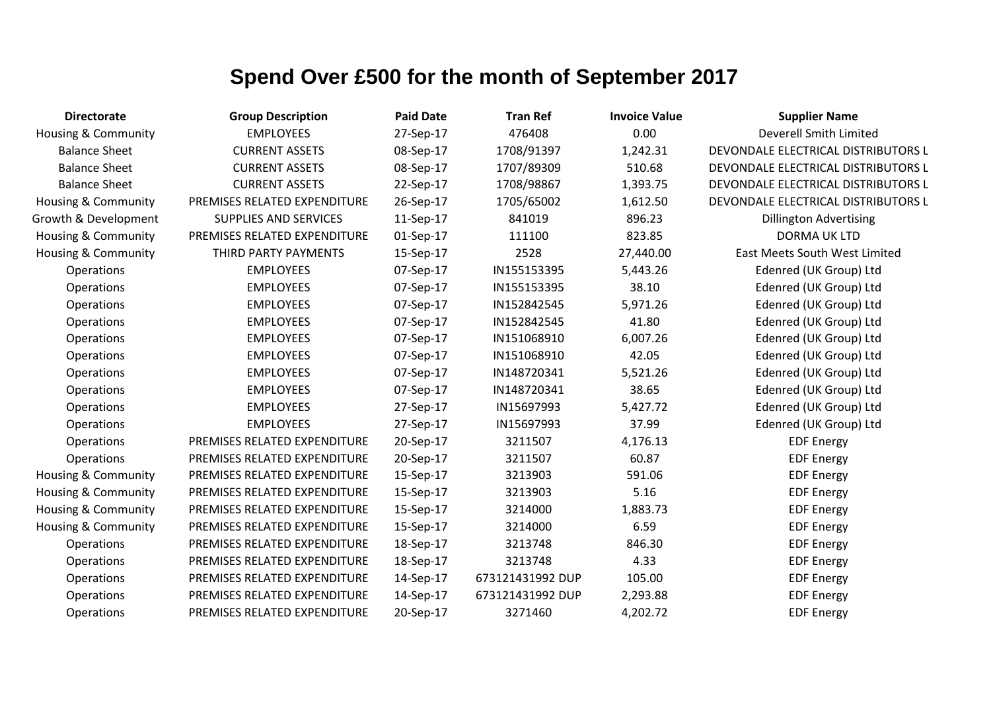| <b>Directorate</b>             | <b>Group Description</b>     | <b>Paid Date</b> | <b>Tran Ref</b>  | <b>Invoice Value</b> | <b>Supplier Name</b>                |
|--------------------------------|------------------------------|------------------|------------------|----------------------|-------------------------------------|
| <b>Housing &amp; Community</b> | <b>EMPLOYEES</b>             | 27-Sep-17        | 476408           | 0.00                 | Deverell Smith Limited              |
| <b>Balance Sheet</b>           | <b>CURRENT ASSETS</b>        | 08-Sep-17        | 1708/91397       | 1,242.31             | DEVONDALE ELECTRICAL DISTRIBUTORS L |
| <b>Balance Sheet</b>           | <b>CURRENT ASSETS</b>        | 08-Sep-17        | 1707/89309       | 510.68               | DEVONDALE ELECTRICAL DISTRIBUTORS L |
| <b>Balance Sheet</b>           | <b>CURRENT ASSETS</b>        | 22-Sep-17        | 1708/98867       | 1,393.75             | DEVONDALE ELECTRICAL DISTRIBUTORS L |
| <b>Housing &amp; Community</b> | PREMISES RELATED EXPENDITURE | 26-Sep-17        | 1705/65002       | 1,612.50             | DEVONDALE ELECTRICAL DISTRIBUTORS L |
| Growth & Development           | <b>SUPPLIES AND SERVICES</b> | 11-Sep-17        | 841019           | 896.23               | <b>Dillington Advertising</b>       |
| Housing & Community            | PREMISES RELATED EXPENDITURE | 01-Sep-17        | 111100           | 823.85               | <b>DORMA UK LTD</b>                 |
| <b>Housing &amp; Community</b> | THIRD PARTY PAYMENTS         | 15-Sep-17        | 2528             | 27,440.00            | East Meets South West Limited       |
| Operations                     | <b>EMPLOYEES</b>             | 07-Sep-17        | IN155153395      | 5,443.26             | Edenred (UK Group) Ltd              |
| <b>Operations</b>              | <b>EMPLOYEES</b>             | 07-Sep-17        | IN155153395      | 38.10                | Edenred (UK Group) Ltd              |
| Operations                     | <b>EMPLOYEES</b>             | 07-Sep-17        | IN152842545      | 5,971.26             | Edenred (UK Group) Ltd              |
| Operations                     | <b>EMPLOYEES</b>             | 07-Sep-17        | IN152842545      | 41.80                | Edenred (UK Group) Ltd              |
| Operations                     | <b>EMPLOYEES</b>             | 07-Sep-17        | IN151068910      | 6,007.26             | Edenred (UK Group) Ltd              |
| Operations                     | <b>EMPLOYEES</b>             | 07-Sep-17        | IN151068910      | 42.05                | Edenred (UK Group) Ltd              |
| Operations                     | <b>EMPLOYEES</b>             | 07-Sep-17        | IN148720341      | 5,521.26             | Edenred (UK Group) Ltd              |
| Operations                     | <b>EMPLOYEES</b>             | 07-Sep-17        | IN148720341      | 38.65                | Edenred (UK Group) Ltd              |
| Operations                     | <b>EMPLOYEES</b>             | 27-Sep-17        | IN15697993       | 5,427.72             | Edenred (UK Group) Ltd              |
| Operations                     | <b>EMPLOYEES</b>             | 27-Sep-17        | IN15697993       | 37.99                | Edenred (UK Group) Ltd              |
| Operations                     | PREMISES RELATED EXPENDITURE | 20-Sep-17        | 3211507          | 4,176.13             | <b>EDF Energy</b>                   |
| Operations                     | PREMISES RELATED EXPENDITURE | 20-Sep-17        | 3211507          | 60.87                | <b>EDF Energy</b>                   |
| Housing & Community            | PREMISES RELATED EXPENDITURE | 15-Sep-17        | 3213903          | 591.06               | <b>EDF Energy</b>                   |
| Housing & Community            | PREMISES RELATED EXPENDITURE | 15-Sep-17        | 3213903          | 5.16                 | <b>EDF Energy</b>                   |
| Housing & Community            | PREMISES RELATED EXPENDITURE | 15-Sep-17        | 3214000          | 1,883.73             | <b>EDF Energy</b>                   |
| <b>Housing &amp; Community</b> | PREMISES RELATED EXPENDITURE | 15-Sep-17        | 3214000          | 6.59                 | <b>EDF Energy</b>                   |
| Operations                     | PREMISES RELATED EXPENDITURE | 18-Sep-17        | 3213748          | 846.30               | <b>EDF Energy</b>                   |
| Operations                     | PREMISES RELATED EXPENDITURE | 18-Sep-17        | 3213748          | 4.33                 | <b>EDF Energy</b>                   |
| Operations                     | PREMISES RELATED EXPENDITURE | 14-Sep-17        | 673121431992 DUP | 105.00               | <b>EDF Energy</b>                   |
| Operations                     | PREMISES RELATED EXPENDITURE | 14-Sep-17        | 673121431992 DUP | 2,293.88             | <b>EDF Energy</b>                   |
| Operations                     | PREMISES RELATED EXPENDITURE | 20-Sep-17        | 3271460          | 4,202.72             | <b>EDF Energy</b>                   |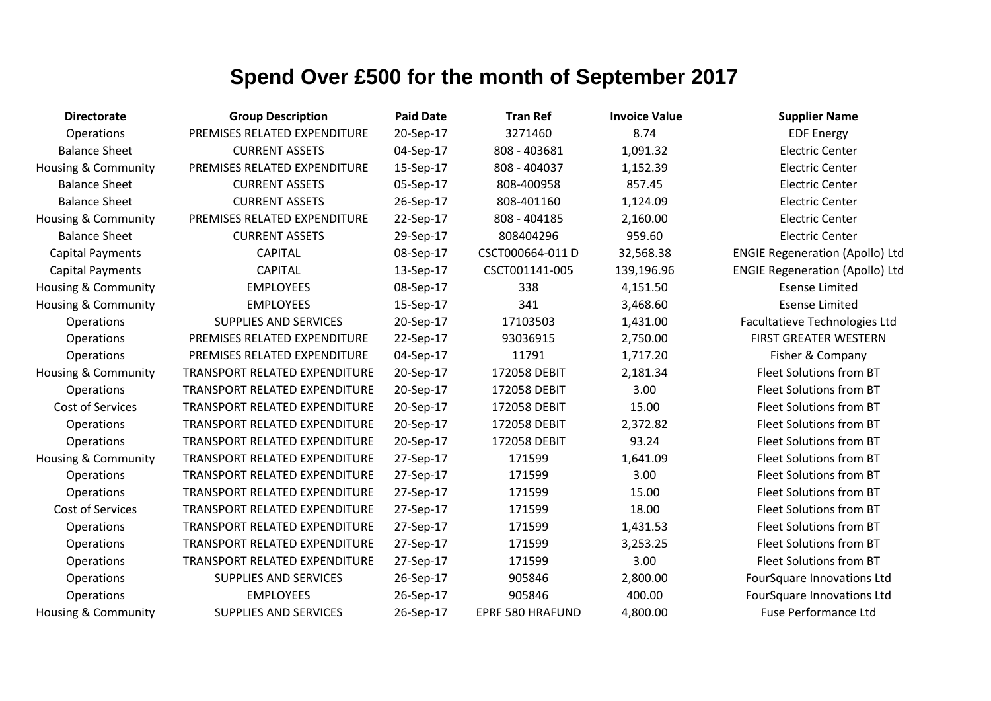| <b>Directorate</b>             | <b>Group Description</b>             | <b>Paid Date</b> | <b>Tran Ref</b>         | <b>Invoice Value</b> | <b>Supplier Name</b>                   |
|--------------------------------|--------------------------------------|------------------|-------------------------|----------------------|----------------------------------------|
| Operations                     | PREMISES RELATED EXPENDITURE         | 20-Sep-17        | 3271460                 | 8.74                 | <b>EDF Energy</b>                      |
| <b>Balance Sheet</b>           | <b>CURRENT ASSETS</b>                | 04-Sep-17        | 808 - 403681            | 1,091.32             | <b>Electric Center</b>                 |
| <b>Housing &amp; Community</b> | PREMISES RELATED EXPENDITURE         | 15-Sep-17        | 808 - 404037            | 1,152.39             | <b>Electric Center</b>                 |
| <b>Balance Sheet</b>           | <b>CURRENT ASSETS</b>                | 05-Sep-17        | 808-400958              | 857.45               | <b>Electric Center</b>                 |
| <b>Balance Sheet</b>           | <b>CURRENT ASSETS</b>                | 26-Sep-17        | 808-401160              | 1,124.09             | <b>Electric Center</b>                 |
| Housing & Community            | PREMISES RELATED EXPENDITURE         | 22-Sep-17        | 808 - 404185            | 2,160.00             | <b>Electric Center</b>                 |
| <b>Balance Sheet</b>           | <b>CURRENT ASSETS</b>                | 29-Sep-17        | 808404296               | 959.60               | <b>Electric Center</b>                 |
| <b>Capital Payments</b>        | <b>CAPITAL</b>                       | 08-Sep-17        | CSCT000664-011 D        | 32,568.38            | <b>ENGIE Regeneration (Apollo) Ltd</b> |
| <b>Capital Payments</b>        | <b>CAPITAL</b>                       | 13-Sep-17        | CSCT001141-005          | 139,196.96           | <b>ENGIE Regeneration (Apollo) Ltd</b> |
| Housing & Community            | <b>EMPLOYEES</b>                     | 08-Sep-17        | 338                     | 4,151.50             | <b>Esense Limited</b>                  |
| Housing & Community            | <b>EMPLOYEES</b>                     | 15-Sep-17        | 341                     | 3,468.60             | <b>Esense Limited</b>                  |
| Operations                     | <b>SUPPLIES AND SERVICES</b>         | 20-Sep-17        | 17103503                | 1,431.00             | Facultatieve Technologies Ltd          |
| Operations                     | PREMISES RELATED EXPENDITURE         | 22-Sep-17        | 93036915                | 2,750.00             | <b>FIRST GREATER WESTERN</b>           |
| Operations                     | PREMISES RELATED EXPENDITURE         | 04-Sep-17        | 11791                   | 1,717.20             | Fisher & Company                       |
| <b>Housing &amp; Community</b> | TRANSPORT RELATED EXPENDITURE        | 20-Sep-17        | 172058 DEBIT            | 2,181.34             | Fleet Solutions from BT                |
| Operations                     | TRANSPORT RELATED EXPENDITURE        | 20-Sep-17        | 172058 DEBIT            | 3.00                 | Fleet Solutions from BT                |
| <b>Cost of Services</b>        | <b>TRANSPORT RELATED EXPENDITURE</b> | 20-Sep-17        | 172058 DEBIT            | 15.00                | Fleet Solutions from BT                |
| Operations                     | TRANSPORT RELATED EXPENDITURE        | 20-Sep-17        | 172058 DEBIT            | 2,372.82             | Fleet Solutions from BT                |
| Operations                     | TRANSPORT RELATED EXPENDITURE        | 20-Sep-17        | 172058 DEBIT            | 93.24                | Fleet Solutions from BT                |
| <b>Housing &amp; Community</b> | TRANSPORT RELATED EXPENDITURE        | 27-Sep-17        | 171599                  | 1,641.09             | Fleet Solutions from BT                |
| Operations                     | TRANSPORT RELATED EXPENDITURE        | 27-Sep-17        | 171599                  | 3.00                 | Fleet Solutions from BT                |
| Operations                     | TRANSPORT RELATED EXPENDITURE        | 27-Sep-17        | 171599                  | 15.00                | Fleet Solutions from BT                |
| Cost of Services               | TRANSPORT RELATED EXPENDITURE        | 27-Sep-17        | 171599                  | 18.00                | Fleet Solutions from BT                |
| Operations                     | TRANSPORT RELATED EXPENDITURE        | 27-Sep-17        | 171599                  | 1,431.53             | Fleet Solutions from BT                |
| Operations                     | TRANSPORT RELATED EXPENDITURE        | 27-Sep-17        | 171599                  | 3,253.25             | Fleet Solutions from BT                |
| Operations                     | TRANSPORT RELATED EXPENDITURE        | 27-Sep-17        | 171599                  | 3.00                 | Fleet Solutions from BT                |
| Operations                     | <b>SUPPLIES AND SERVICES</b>         | 26-Sep-17        | 905846                  | 2,800.00             | FourSquare Innovations Ltd             |
| Operations                     | <b>EMPLOYEES</b>                     | 26-Sep-17        | 905846                  | 400.00               | FourSquare Innovations Ltd             |
| Housing & Community            | <b>SUPPLIES AND SERVICES</b>         | 26-Sep-17        | <b>EPRF 580 HRAFUND</b> | 4,800.00             | <b>Fuse Performance Ltd</b>            |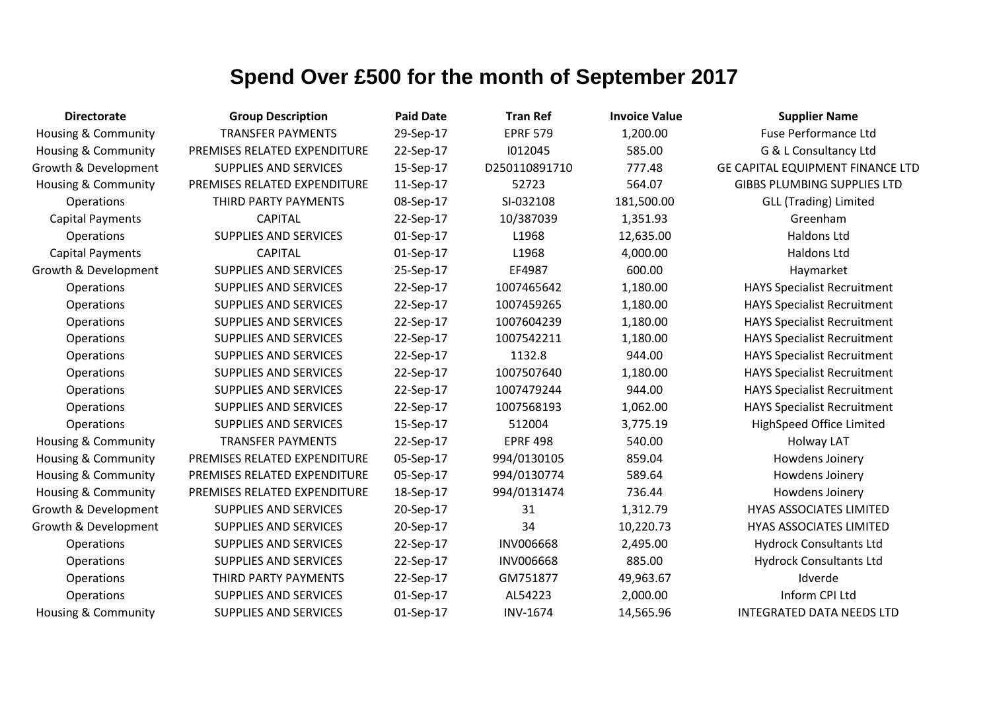| <b>Directorate</b>             | <b>Group Description</b>     | <b>Paid Date</b> | <b>Tran Ref</b>  | <b>Invoice Value</b> | <b>Supplier Name</b>                    |
|--------------------------------|------------------------------|------------------|------------------|----------------------|-----------------------------------------|
| Housing & Community            | <b>TRANSFER PAYMENTS</b>     | 29-Sep-17        | <b>EPRF 579</b>  | 1,200.00             | <b>Fuse Performance Ltd</b>             |
| <b>Housing &amp; Community</b> | PREMISES RELATED EXPENDITURE | 22-Sep-17        | 1012045          | 585.00               | G & L Consultancy Ltd                   |
| Growth & Development           | SUPPLIES AND SERVICES        | 15-Sep-17        | D250110891710    | 777.48               | <b>GE CAPITAL EQUIPMENT FINANCE LTD</b> |
| <b>Housing &amp; Community</b> | PREMISES RELATED EXPENDITURE | 11-Sep-17        | 52723            | 564.07               | <b>GIBBS PLUMBING SUPPLIES LTD</b>      |
| <b>Operations</b>              | THIRD PARTY PAYMENTS         | 08-Sep-17        | SI-032108        | 181,500.00           | <b>GLL (Trading) Limited</b>            |
| <b>Capital Payments</b>        | <b>CAPITAL</b>               | 22-Sep-17        | 10/387039        | 1,351.93             | Greenham                                |
| Operations                     | <b>SUPPLIES AND SERVICES</b> | 01-Sep-17        | L1968            | 12,635.00            | <b>Haldons Ltd</b>                      |
| <b>Capital Payments</b>        | <b>CAPITAL</b>               | 01-Sep-17        | L1968            | 4,000.00             | Haldons Ltd                             |
| Growth & Development           | <b>SUPPLIES AND SERVICES</b> | 25-Sep-17        | EF4987           | 600.00               | Haymarket                               |
| Operations                     | SUPPLIES AND SERVICES        | 22-Sep-17        | 1007465642       | 1,180.00             | <b>HAYS Specialist Recruitment</b>      |
| Operations                     | <b>SUPPLIES AND SERVICES</b> | 22-Sep-17        | 1007459265       | 1,180.00             | <b>HAYS Specialist Recruitment</b>      |
| Operations                     | <b>SUPPLIES AND SERVICES</b> | 22-Sep-17        | 1007604239       | 1,180.00             | <b>HAYS Specialist Recruitment</b>      |
| Operations                     | <b>SUPPLIES AND SERVICES</b> | 22-Sep-17        | 1007542211       | 1,180.00             | <b>HAYS Specialist Recruitment</b>      |
| Operations                     | <b>SUPPLIES AND SERVICES</b> | 22-Sep-17        | 1132.8           | 944.00               | <b>HAYS Specialist Recruitment</b>      |
| Operations                     | <b>SUPPLIES AND SERVICES</b> | 22-Sep-17        | 1007507640       | 1,180.00             | <b>HAYS Specialist Recruitment</b>      |
| Operations                     | <b>SUPPLIES AND SERVICES</b> | 22-Sep-17        | 1007479244       | 944.00               | <b>HAYS Specialist Recruitment</b>      |
| Operations                     | <b>SUPPLIES AND SERVICES</b> | 22-Sep-17        | 1007568193       | 1,062.00             | <b>HAYS Specialist Recruitment</b>      |
| Operations                     | SUPPLIES AND SERVICES        | 15-Sep-17        | 512004           | 3,775.19             | HighSpeed Office Limited                |
| <b>Housing &amp; Community</b> | <b>TRANSFER PAYMENTS</b>     | 22-Sep-17        | <b>EPRF 498</b>  | 540.00               | <b>Holway LAT</b>                       |
| <b>Housing &amp; Community</b> | PREMISES RELATED EXPENDITURE | 05-Sep-17        | 994/0130105      | 859.04               | Howdens Joinery                         |
| <b>Housing &amp; Community</b> | PREMISES RELATED EXPENDITURE | 05-Sep-17        | 994/0130774      | 589.64               | Howdens Joinery                         |
| <b>Housing &amp; Community</b> | PREMISES RELATED EXPENDITURE | 18-Sep-17        | 994/0131474      | 736.44               | Howdens Joinery                         |
| Growth & Development           | <b>SUPPLIES AND SERVICES</b> | 20-Sep-17        | 31               | 1,312.79             | <b>HYAS ASSOCIATES LIMITED</b>          |
| Growth & Development           | <b>SUPPLIES AND SERVICES</b> | 20-Sep-17        | 34               | 10,220.73            | <b>HYAS ASSOCIATES LIMITED</b>          |
| Operations                     | SUPPLIES AND SERVICES        | 22-Sep-17        | <b>INV006668</b> | 2,495.00             | <b>Hydrock Consultants Ltd</b>          |
| Operations                     | <b>SUPPLIES AND SERVICES</b> | 22-Sep-17        | <b>INV006668</b> | 885.00               | <b>Hydrock Consultants Ltd</b>          |
| Operations                     | THIRD PARTY PAYMENTS         | 22-Sep-17        | GM751877         | 49,963.67            | Idverde                                 |
| Operations                     | <b>SUPPLIES AND SERVICES</b> | 01-Sep-17        | AL54223          | 2,000.00             | Inform CPI Ltd                          |
| <b>Housing &amp; Community</b> | <b>SUPPLIES AND SERVICES</b> | 01-Sep-17        | <b>INV-1674</b>  | 14,565.96            | <b>INTEGRATED DATA NEEDS LTD</b>        |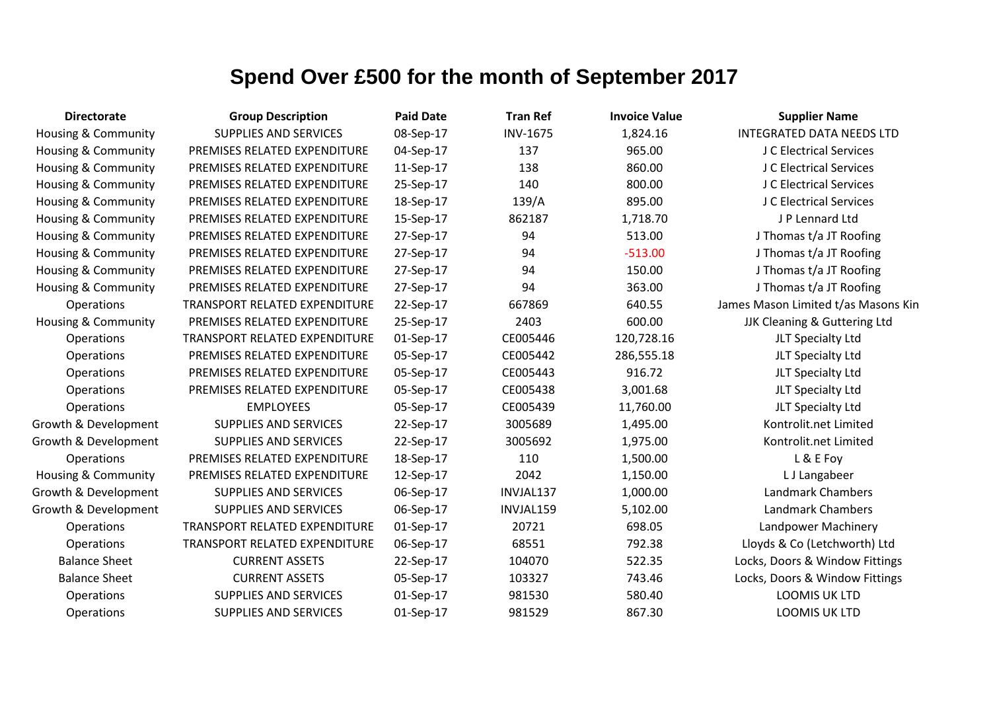| <b>Directorate</b>             | <b>Group Description</b>      | <b>Paid Date</b> | <b>Tran Ref</b> | <b>Invoice Value</b> | <b>Supplier Name</b>                |
|--------------------------------|-------------------------------|------------------|-----------------|----------------------|-------------------------------------|
| Housing & Community            | <b>SUPPLIES AND SERVICES</b>  | 08-Sep-17        | <b>INV-1675</b> | 1,824.16             | <b>INTEGRATED DATA NEEDS LTD</b>    |
| Housing & Community            | PREMISES RELATED EXPENDITURE  | 04-Sep-17        | 137             | 965.00               | J C Electrical Services             |
| Housing & Community            | PREMISES RELATED EXPENDITURE  | 11-Sep-17        | 138             | 860.00               | J C Electrical Services             |
| <b>Housing &amp; Community</b> | PREMISES RELATED EXPENDITURE  | 25-Sep-17        | 140             | 800.00               | J C Electrical Services             |
| <b>Housing &amp; Community</b> | PREMISES RELATED EXPENDITURE  | 18-Sep-17        | 139/A           | 895.00               | J C Electrical Services             |
| <b>Housing &amp; Community</b> | PREMISES RELATED EXPENDITURE  | 15-Sep-17        | 862187          | 1,718.70             | J P Lennard Ltd                     |
| <b>Housing &amp; Community</b> | PREMISES RELATED EXPENDITURE  | 27-Sep-17        | 94              | 513.00               | J Thomas t/a JT Roofing             |
| <b>Housing &amp; Community</b> | PREMISES RELATED EXPENDITURE  | 27-Sep-17        | 94              | $-513.00$            | J Thomas t/a JT Roofing             |
| <b>Housing &amp; Community</b> | PREMISES RELATED EXPENDITURE  | 27-Sep-17        | 94              | 150.00               | J Thomas t/a JT Roofing             |
| Housing & Community            | PREMISES RELATED EXPENDITURE  | 27-Sep-17        | 94              | 363.00               | J Thomas t/a JT Roofing             |
| Operations                     | TRANSPORT RELATED EXPENDITURE | 22-Sep-17        | 667869          | 640.55               | James Mason Limited t/as Masons Kin |
| Housing & Community            | PREMISES RELATED EXPENDITURE  | 25-Sep-17        | 2403            | 600.00               | JJK Cleaning & Guttering Ltd        |
| Operations                     | TRANSPORT RELATED EXPENDITURE | 01-Sep-17        | CE005446        | 120,728.16           | JLT Specialty Ltd                   |
| Operations                     | PREMISES RELATED EXPENDITURE  | 05-Sep-17        | CE005442        | 286,555.18           | JLT Specialty Ltd                   |
| Operations                     | PREMISES RELATED EXPENDITURE  | 05-Sep-17        | CE005443        | 916.72               | JLT Specialty Ltd                   |
| Operations                     | PREMISES RELATED EXPENDITURE  | 05-Sep-17        | CE005438        | 3,001.68             | JLT Specialty Ltd                   |
| Operations                     | <b>EMPLOYEES</b>              | 05-Sep-17        | CE005439        | 11,760.00            | JLT Specialty Ltd                   |
| Growth & Development           | <b>SUPPLIES AND SERVICES</b>  | 22-Sep-17        | 3005689         | 1,495.00             | Kontrolit.net Limited               |
| Growth & Development           | <b>SUPPLIES AND SERVICES</b>  | 22-Sep-17        | 3005692         | 1,975.00             | Kontrolit.net Limited               |
| Operations                     | PREMISES RELATED EXPENDITURE  | 18-Sep-17        | 110             | 1,500.00             | L & E Foy                           |
| Housing & Community            | PREMISES RELATED EXPENDITURE  | 12-Sep-17        | 2042            | 1,150.00             | L J Langabeer                       |
| Growth & Development           | <b>SUPPLIES AND SERVICES</b>  | 06-Sep-17        | INVJAL137       | 1,000.00             | Landmark Chambers                   |
| Growth & Development           | <b>SUPPLIES AND SERVICES</b>  | 06-Sep-17        | INVJAL159       | 5,102.00             | <b>Landmark Chambers</b>            |
| Operations                     | TRANSPORT RELATED EXPENDITURE | 01-Sep-17        | 20721           | 698.05               | Landpower Machinery                 |
| Operations                     | TRANSPORT RELATED EXPENDITURE | 06-Sep-17        | 68551           | 792.38               | Lloyds & Co (Letchworth) Ltd        |
| <b>Balance Sheet</b>           | <b>CURRENT ASSETS</b>         | 22-Sep-17        | 104070          | 522.35               | Locks, Doors & Window Fittings      |
| <b>Balance Sheet</b>           | <b>CURRENT ASSETS</b>         | 05-Sep-17        | 103327          | 743.46               | Locks, Doors & Window Fittings      |
| Operations                     | <b>SUPPLIES AND SERVICES</b>  | 01-Sep-17        | 981530          | 580.40               | LOOMIS UK LTD                       |
| Operations                     | <b>SUPPLIES AND SERVICES</b>  | 01-Sep-17        | 981529          | 867.30               | LOOMIS UK LTD                       |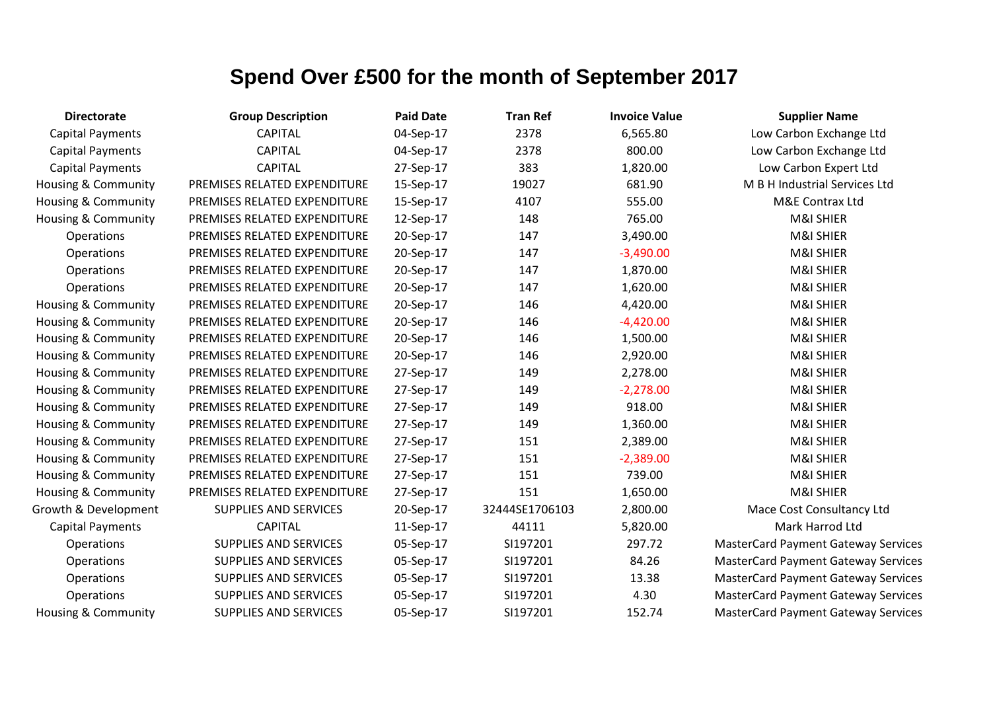| <b>Directorate</b>             | <b>Group Description</b>     | <b>Paid Date</b> | <b>Tran Ref</b> | <b>Invoice Value</b> | <b>Supplier Name</b>                       |
|--------------------------------|------------------------------|------------------|-----------------|----------------------|--------------------------------------------|
| <b>Capital Payments</b>        | <b>CAPITAL</b>               | 04-Sep-17        | 2378            | 6,565.80             | Low Carbon Exchange Ltd                    |
| <b>Capital Payments</b>        | <b>CAPITAL</b>               | 04-Sep-17        | 2378            | 800.00               | Low Carbon Exchange Ltd                    |
| <b>Capital Payments</b>        | <b>CAPITAL</b>               | 27-Sep-17        | 383             | 1,820.00             | Low Carbon Expert Ltd                      |
| Housing & Community            | PREMISES RELATED EXPENDITURE | 15-Sep-17        | 19027           | 681.90               | M B H Industrial Services Ltd              |
| Housing & Community            | PREMISES RELATED EXPENDITURE | 15-Sep-17        | 4107            | 555.00               | M&E Contrax Ltd                            |
| Housing & Community            | PREMISES RELATED EXPENDITURE | 12-Sep-17        | 148             | 765.00               | M&I SHIER                                  |
| Operations                     | PREMISES RELATED EXPENDITURE | 20-Sep-17        | 147             | 3,490.00             | M&I SHIER                                  |
| Operations                     | PREMISES RELATED EXPENDITURE | 20-Sep-17        | 147             | $-3,490.00$          | <b>M&amp;I SHIER</b>                       |
| Operations                     | PREMISES RELATED EXPENDITURE | 20-Sep-17        | 147             | 1,870.00             | M&I SHIER                                  |
| Operations                     | PREMISES RELATED EXPENDITURE | 20-Sep-17        | 147             | 1,620.00             | <b>M&amp;I SHIER</b>                       |
| Housing & Community            | PREMISES RELATED EXPENDITURE | 20-Sep-17        | 146             | 4,420.00             | M&I SHIER                                  |
| Housing & Community            | PREMISES RELATED EXPENDITURE | 20-Sep-17        | 146             | $-4,420.00$          | M&I SHIER                                  |
| Housing & Community            | PREMISES RELATED EXPENDITURE | 20-Sep-17        | 146             | 1,500.00             | M&I SHIER                                  |
| Housing & Community            | PREMISES RELATED EXPENDITURE | 20-Sep-17        | 146             | 2,920.00             | M&I SHIER                                  |
| Housing & Community            | PREMISES RELATED EXPENDITURE | 27-Sep-17        | 149             | 2,278.00             | M&I SHIER                                  |
| Housing & Community            | PREMISES RELATED EXPENDITURE | 27-Sep-17        | 149             | $-2,278.00$          | M&I SHIER                                  |
| Housing & Community            | PREMISES RELATED EXPENDITURE | 27-Sep-17        | 149             | 918.00               | M&I SHIER                                  |
| Housing & Community            | PREMISES RELATED EXPENDITURE | 27-Sep-17        | 149             | 1,360.00             | M&I SHIER                                  |
| Housing & Community            | PREMISES RELATED EXPENDITURE | 27-Sep-17        | 151             | 2,389.00             | M&I SHIER                                  |
| Housing & Community            | PREMISES RELATED EXPENDITURE | 27-Sep-17        | 151             | $-2,389.00$          | M&I SHIER                                  |
| Housing & Community            | PREMISES RELATED EXPENDITURE | 27-Sep-17        | 151             | 739.00               | M&I SHIER                                  |
| <b>Housing &amp; Community</b> | PREMISES RELATED EXPENDITURE | 27-Sep-17        | 151             | 1,650.00             | <b>M&amp;I SHIER</b>                       |
| Growth & Development           | SUPPLIES AND SERVICES        | 20-Sep-17        | 32444SE1706103  | 2,800.00             | Mace Cost Consultancy Ltd                  |
| <b>Capital Payments</b>        | <b>CAPITAL</b>               | 11-Sep-17        | 44111           | 5,820.00             | Mark Harrod Ltd                            |
| Operations                     | <b>SUPPLIES AND SERVICES</b> | 05-Sep-17        | SI197201        | 297.72               | <b>MasterCard Payment Gateway Services</b> |
| Operations                     | SUPPLIES AND SERVICES        | 05-Sep-17        | SI197201        | 84.26                | <b>MasterCard Payment Gateway Services</b> |
| Operations                     | SUPPLIES AND SERVICES        | 05-Sep-17        | SI197201        | 13.38                | <b>MasterCard Payment Gateway Services</b> |
| Operations                     | SUPPLIES AND SERVICES        | 05-Sep-17        | SI197201        | 4.30                 | <b>MasterCard Payment Gateway Services</b> |
| <b>Housing &amp; Community</b> | SUPPLIES AND SERVICES        | 05-Sep-17        | SI197201        | 152.74               | <b>MasterCard Payment Gateway Services</b> |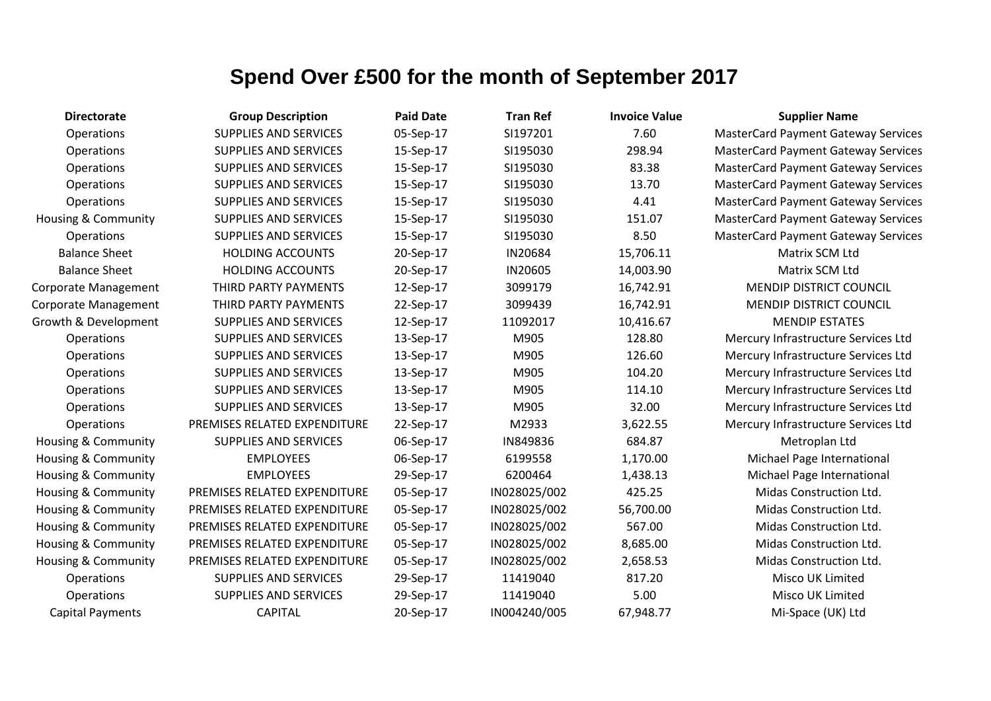| <b>Directorate</b>             | <b>Group Description</b>     | <b>Paid Date</b> | <b>Tran Ref</b> | <b>Invoice Value</b> | <b>Supplier Name</b>                       |
|--------------------------------|------------------------------|------------------|-----------------|----------------------|--------------------------------------------|
| Operations                     | <b>SUPPLIES AND SERVICES</b> | 05-Sep-17        | SI197201        | 7.60                 | <b>MasterCard Payment Gateway Services</b> |
| <b>Operations</b>              | <b>SUPPLIES AND SERVICES</b> | 15-Sep-17        | SI195030        | 298.94               | <b>MasterCard Payment Gateway Services</b> |
| Operations                     | <b>SUPPLIES AND SERVICES</b> | 15-Sep-17        | SI195030        | 83.38                | <b>MasterCard Payment Gateway Services</b> |
| Operations                     | SUPPLIES AND SERVICES        | 15-Sep-17        | SI195030        | 13.70                | <b>MasterCard Payment Gateway Services</b> |
| Operations                     | <b>SUPPLIES AND SERVICES</b> | 15-Sep-17        | SI195030        | 4.41                 | <b>MasterCard Payment Gateway Services</b> |
| <b>Housing &amp; Community</b> | <b>SUPPLIES AND SERVICES</b> | 15-Sep-17        | SI195030        | 151.07               | <b>MasterCard Payment Gateway Services</b> |
| <b>Operations</b>              | <b>SUPPLIES AND SERVICES</b> | 15-Sep-17        | SI195030        | 8.50                 | <b>MasterCard Payment Gateway Services</b> |
| <b>Balance Sheet</b>           | <b>HOLDING ACCOUNTS</b>      | 20-Sep-17        | IN20684         | 15,706.11            | Matrix SCM Ltd                             |
| <b>Balance Sheet</b>           | <b>HOLDING ACCOUNTS</b>      | 20-Sep-17        | IN20605         | 14,003.90            | Matrix SCM Ltd                             |
| <b>Corporate Management</b>    | THIRD PARTY PAYMENTS         | 12-Sep-17        | 3099179         | 16,742.91            | <b>MENDIP DISTRICT COUNCIL</b>             |
| <b>Corporate Management</b>    | THIRD PARTY PAYMENTS         | 22-Sep-17        | 3099439         | 16,742.91            | <b>MENDIP DISTRICT COUNCIL</b>             |
| Growth & Development           | <b>SUPPLIES AND SERVICES</b> | 12-Sep-17        | 11092017        | 10,416.67            | <b>MENDIP ESTATES</b>                      |
| Operations                     | <b>SUPPLIES AND SERVICES</b> | 13-Sep-17        | M905            | 128.80               | Mercury Infrastructure Services Ltd        |
| Operations                     | SUPPLIES AND SERVICES        | 13-Sep-17        | M905            | 126.60               | Mercury Infrastructure Services Ltd        |
| Operations                     | <b>SUPPLIES AND SERVICES</b> | 13-Sep-17        | M905            | 104.20               | Mercury Infrastructure Services Ltd        |
| Operations                     | <b>SUPPLIES AND SERVICES</b> | 13-Sep-17        | M905            | 114.10               | Mercury Infrastructure Services Ltd        |
| <b>Operations</b>              | <b>SUPPLIES AND SERVICES</b> | 13-Sep-17        | M905            | 32.00                | Mercury Infrastructure Services Ltd        |
| Operations                     | PREMISES RELATED EXPENDITURE | 22-Sep-17        | M2933           | 3,622.55             | Mercury Infrastructure Services Ltd        |
| Housing & Community            | <b>SUPPLIES AND SERVICES</b> | 06-Sep-17        | IN849836        | 684.87               | Metroplan Ltd                              |
| Housing & Community            | <b>EMPLOYEES</b>             | 06-Sep-17        | 6199558         | 1,170.00             | Michael Page International                 |
| Housing & Community            | <b>EMPLOYEES</b>             | 29-Sep-17        | 6200464         | 1,438.13             | Michael Page International                 |
| Housing & Community            | PREMISES RELATED EXPENDITURE | 05-Sep-17        | IN028025/002    | 425.25               | Midas Construction Ltd.                    |
| Housing & Community            | PREMISES RELATED EXPENDITURE | 05-Sep-17        | IN028025/002    | 56,700.00            | Midas Construction Ltd.                    |
| Housing & Community            | PREMISES RELATED EXPENDITURE | 05-Sep-17        | IN028025/002    | 567.00               | Midas Construction Ltd.                    |
| <b>Housing &amp; Community</b> | PREMISES RELATED EXPENDITURE | 05-Sep-17        | IN028025/002    | 8,685.00             | Midas Construction Ltd.                    |
| Housing & Community            | PREMISES RELATED EXPENDITURE | 05-Sep-17        | IN028025/002    | 2,658.53             | Midas Construction Ltd.                    |
| <b>Operations</b>              | <b>SUPPLIES AND SERVICES</b> | 29-Sep-17        | 11419040        | 817.20               | Misco UK Limited                           |
| Operations                     | <b>SUPPLIES AND SERVICES</b> | 29-Sep-17        | 11419040        | 5.00                 | Misco UK Limited                           |
| <b>Capital Payments</b>        | <b>CAPITAL</b>               | 20-Sep-17        | IN004240/005    | 67,948.77            | Mi-Space (UK) Ltd                          |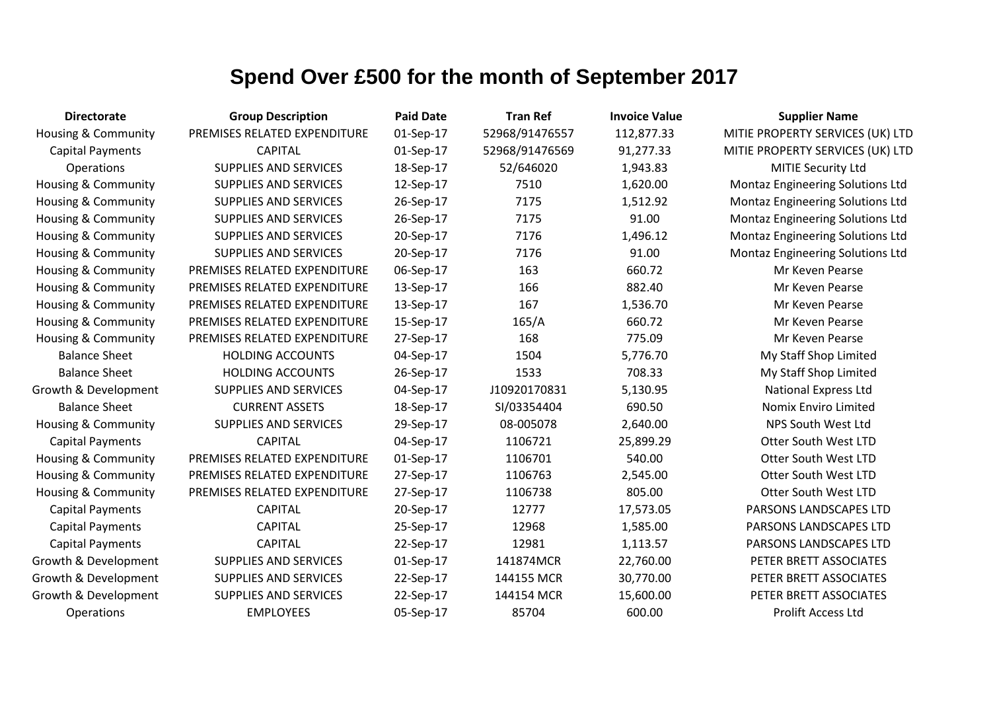| <b>Directorate</b>             | <b>Group Description</b>     | <b>Paid Date</b> | <b>Tran Ref</b> | <b>Invoice Value</b> | <b>Supplier Name</b>                    |
|--------------------------------|------------------------------|------------------|-----------------|----------------------|-----------------------------------------|
| <b>Housing &amp; Community</b> | PREMISES RELATED EXPENDITURE | 01-Sep-17        | 52968/91476557  | 112,877.33           | MITIE PROPERTY SERVICES (UK) LTD        |
| <b>Capital Payments</b>        | <b>CAPITAL</b>               | 01-Sep-17        | 52968/91476569  | 91,277.33            | MITIE PROPERTY SERVICES (UK) LTD        |
| Operations                     | <b>SUPPLIES AND SERVICES</b> | 18-Sep-17        | 52/646020       | 1,943.83             | <b>MITIE Security Ltd</b>               |
| <b>Housing &amp; Community</b> | <b>SUPPLIES AND SERVICES</b> | 12-Sep-17        | 7510            | 1,620.00             | <b>Montaz Engineering Solutions Ltd</b> |
| <b>Housing &amp; Community</b> | <b>SUPPLIES AND SERVICES</b> | 26-Sep-17        | 7175            | 1,512.92             | Montaz Engineering Solutions Ltd        |
| <b>Housing &amp; Community</b> | <b>SUPPLIES AND SERVICES</b> | 26-Sep-17        | 7175            | 91.00                | <b>Montaz Engineering Solutions Ltd</b> |
| <b>Housing &amp; Community</b> | <b>SUPPLIES AND SERVICES</b> | 20-Sep-17        | 7176            | 1,496.12             | Montaz Engineering Solutions Ltd        |
| <b>Housing &amp; Community</b> | <b>SUPPLIES AND SERVICES</b> | 20-Sep-17        | 7176            | 91.00                | <b>Montaz Engineering Solutions Ltd</b> |
| <b>Housing &amp; Community</b> | PREMISES RELATED EXPENDITURE | 06-Sep-17        | 163             | 660.72               | Mr Keven Pearse                         |
| <b>Housing &amp; Community</b> | PREMISES RELATED EXPENDITURE | 13-Sep-17        | 166             | 882.40               | Mr Keven Pearse                         |
| Housing & Community            | PREMISES RELATED EXPENDITURE | 13-Sep-17        | 167             | 1,536.70             | Mr Keven Pearse                         |
| <b>Housing &amp; Community</b> | PREMISES RELATED EXPENDITURE | 15-Sep-17        | 165/A           | 660.72               | Mr Keven Pearse                         |
| Housing & Community            | PREMISES RELATED EXPENDITURE | 27-Sep-17        | 168             | 775.09               | Mr Keven Pearse                         |
| <b>Balance Sheet</b>           | <b>HOLDING ACCOUNTS</b>      | 04-Sep-17        | 1504            | 5,776.70             | My Staff Shop Limited                   |
| <b>Balance Sheet</b>           | <b>HOLDING ACCOUNTS</b>      | 26-Sep-17        | 1533            | 708.33               | My Staff Shop Limited                   |
| Growth & Development           | <b>SUPPLIES AND SERVICES</b> | 04-Sep-17        | J10920170831    | 5,130.95             | <b>National Express Ltd</b>             |
| <b>Balance Sheet</b>           | <b>CURRENT ASSETS</b>        | 18-Sep-17        | SI/03354404     | 690.50               | Nomix Enviro Limited                    |
| <b>Housing &amp; Community</b> | <b>SUPPLIES AND SERVICES</b> | 29-Sep-17        | 08-005078       | 2,640.00             | NPS South West Ltd                      |
| <b>Capital Payments</b>        | <b>CAPITAL</b>               | 04-Sep-17        | 1106721         | 25,899.29            | <b>Otter South West LTD</b>             |
| <b>Housing &amp; Community</b> | PREMISES RELATED EXPENDITURE | 01-Sep-17        | 1106701         | 540.00               | <b>Otter South West LTD</b>             |
| <b>Housing &amp; Community</b> | PREMISES RELATED EXPENDITURE | 27-Sep-17        | 1106763         | 2,545.00             | <b>Otter South West LTD</b>             |
| <b>Housing &amp; Community</b> | PREMISES RELATED EXPENDITURE | 27-Sep-17        | 1106738         | 805.00               | Otter South West LTD                    |
| <b>Capital Payments</b>        | <b>CAPITAL</b>               | 20-Sep-17        | 12777           | 17,573.05            | PARSONS LANDSCAPES LTD                  |
| <b>Capital Payments</b>        | <b>CAPITAL</b>               | 25-Sep-17        | 12968           | 1,585.00             | PARSONS LANDSCAPES LTD                  |
| <b>Capital Payments</b>        | <b>CAPITAL</b>               | 22-Sep-17        | 12981           | 1,113.57             | PARSONS LANDSCAPES LTD                  |
| Growth & Development           | <b>SUPPLIES AND SERVICES</b> | 01-Sep-17        | 141874MCR       | 22,760.00            | PETER BRETT ASSOCIATES                  |
| Growth & Development           | <b>SUPPLIES AND SERVICES</b> | 22-Sep-17        | 144155 MCR      | 30,770.00            | PETER BRETT ASSOCIATES                  |
| Growth & Development           | <b>SUPPLIES AND SERVICES</b> | 22-Sep-17        | 144154 MCR      | 15,600.00            | PETER BRETT ASSOCIATES                  |
| Operations                     | <b>EMPLOYEES</b>             | 05-Sep-17        | 85704           | 600.00               | <b>Prolift Access Ltd</b>               |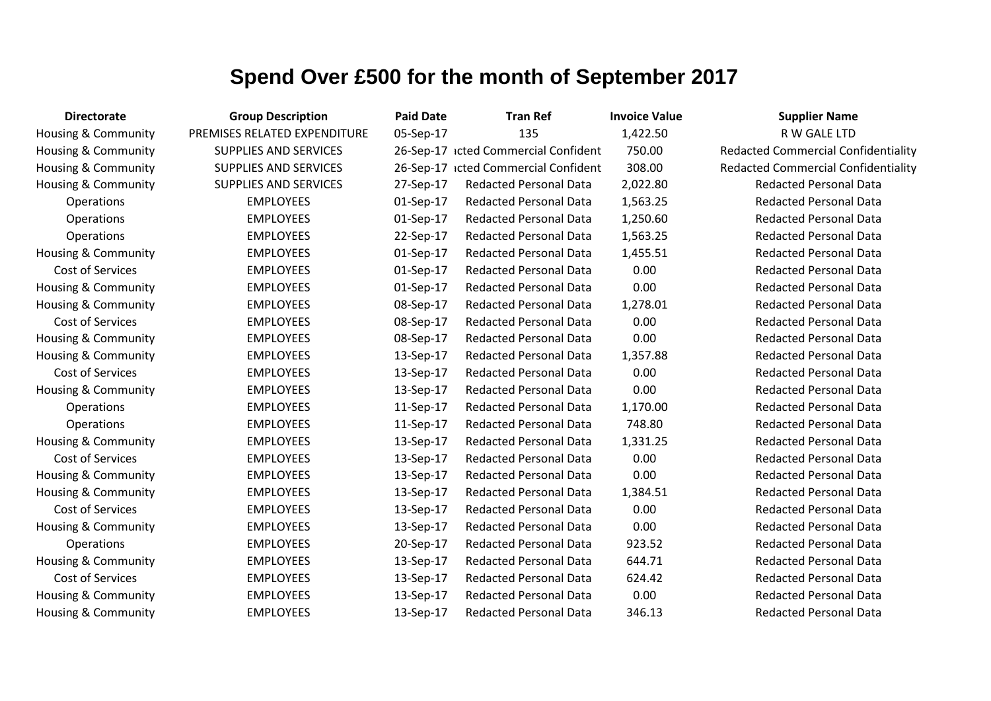| <b>Directorate</b>             | <b>Group Description</b>     | <b>Paid Date</b> | <b>Tran Ref</b>                      | <b>Invoice Value</b> | <b>Supplier Name</b>                       |
|--------------------------------|------------------------------|------------------|--------------------------------------|----------------------|--------------------------------------------|
| Housing & Community            | PREMISES RELATED EXPENDITURE | 05-Sep-17        | 135                                  | 1,422.50             | R W GALE LTD                               |
| Housing & Community            | <b>SUPPLIES AND SERVICES</b> |                  | 26-Sep-17 icted Commercial Confident | 750.00               | <b>Redacted Commercial Confidentiality</b> |
| Housing & Community            | <b>SUPPLIES AND SERVICES</b> |                  | 26-Sep-17 icted Commercial Confident | 308.00               | <b>Redacted Commercial Confidentiality</b> |
| <b>Housing &amp; Community</b> | <b>SUPPLIES AND SERVICES</b> | 27-Sep-17        | <b>Redacted Personal Data</b>        | 2,022.80             | <b>Redacted Personal Data</b>              |
| Operations                     | <b>EMPLOYEES</b>             | 01-Sep-17        | <b>Redacted Personal Data</b>        | 1,563.25             | <b>Redacted Personal Data</b>              |
| <b>Operations</b>              | <b>EMPLOYEES</b>             | 01-Sep-17        | <b>Redacted Personal Data</b>        | 1,250.60             | <b>Redacted Personal Data</b>              |
| Operations                     | <b>EMPLOYEES</b>             | 22-Sep-17        | <b>Redacted Personal Data</b>        | 1,563.25             | <b>Redacted Personal Data</b>              |
| Housing & Community            | <b>EMPLOYEES</b>             | 01-Sep-17        | <b>Redacted Personal Data</b>        | 1,455.51             | <b>Redacted Personal Data</b>              |
| Cost of Services               | <b>EMPLOYEES</b>             | 01-Sep-17        | <b>Redacted Personal Data</b>        | 0.00                 | <b>Redacted Personal Data</b>              |
| Housing & Community            | <b>EMPLOYEES</b>             | 01-Sep-17        | <b>Redacted Personal Data</b>        | 0.00                 | <b>Redacted Personal Data</b>              |
| Housing & Community            | <b>EMPLOYEES</b>             | 08-Sep-17        | <b>Redacted Personal Data</b>        | 1,278.01             | <b>Redacted Personal Data</b>              |
| Cost of Services               | <b>EMPLOYEES</b>             | 08-Sep-17        | <b>Redacted Personal Data</b>        | 0.00                 | <b>Redacted Personal Data</b>              |
| Housing & Community            | <b>EMPLOYEES</b>             | 08-Sep-17        | <b>Redacted Personal Data</b>        | 0.00                 | <b>Redacted Personal Data</b>              |
| Housing & Community            | <b>EMPLOYEES</b>             | 13-Sep-17        | <b>Redacted Personal Data</b>        | 1,357.88             | <b>Redacted Personal Data</b>              |
| Cost of Services               | <b>EMPLOYEES</b>             | 13-Sep-17        | <b>Redacted Personal Data</b>        | 0.00                 | <b>Redacted Personal Data</b>              |
| Housing & Community            | <b>EMPLOYEES</b>             | 13-Sep-17        | <b>Redacted Personal Data</b>        | 0.00                 | <b>Redacted Personal Data</b>              |
| Operations                     | <b>EMPLOYEES</b>             | 11-Sep-17        | <b>Redacted Personal Data</b>        | 1,170.00             | <b>Redacted Personal Data</b>              |
| Operations                     | <b>EMPLOYEES</b>             | 11-Sep-17        | <b>Redacted Personal Data</b>        | 748.80               | <b>Redacted Personal Data</b>              |
| <b>Housing &amp; Community</b> | <b>EMPLOYEES</b>             | 13-Sep-17        | <b>Redacted Personal Data</b>        | 1,331.25             | <b>Redacted Personal Data</b>              |
| Cost of Services               | <b>EMPLOYEES</b>             | 13-Sep-17        | <b>Redacted Personal Data</b>        | 0.00                 | <b>Redacted Personal Data</b>              |
| Housing & Community            | <b>EMPLOYEES</b>             | 13-Sep-17        | <b>Redacted Personal Data</b>        | 0.00                 | <b>Redacted Personal Data</b>              |
| <b>Housing &amp; Community</b> | <b>EMPLOYEES</b>             | 13-Sep-17        | <b>Redacted Personal Data</b>        | 1,384.51             | <b>Redacted Personal Data</b>              |
| Cost of Services               | <b>EMPLOYEES</b>             | 13-Sep-17        | <b>Redacted Personal Data</b>        | 0.00                 | <b>Redacted Personal Data</b>              |
| <b>Housing &amp; Community</b> | <b>EMPLOYEES</b>             | 13-Sep-17        | <b>Redacted Personal Data</b>        | 0.00                 | <b>Redacted Personal Data</b>              |
| Operations                     | <b>EMPLOYEES</b>             | 20-Sep-17        | <b>Redacted Personal Data</b>        | 923.52               | <b>Redacted Personal Data</b>              |
| <b>Housing &amp; Community</b> | <b>EMPLOYEES</b>             | 13-Sep-17        | <b>Redacted Personal Data</b>        | 644.71               | <b>Redacted Personal Data</b>              |
| Cost of Services               | <b>EMPLOYEES</b>             | 13-Sep-17        | <b>Redacted Personal Data</b>        | 624.42               | <b>Redacted Personal Data</b>              |
| <b>Housing &amp; Community</b> | <b>EMPLOYEES</b>             | 13-Sep-17        | <b>Redacted Personal Data</b>        | 0.00                 | <b>Redacted Personal Data</b>              |
| <b>Housing &amp; Community</b> | <b>EMPLOYEES</b>             | 13-Sep-17        | <b>Redacted Personal Data</b>        | 346.13               | <b>Redacted Personal Data</b>              |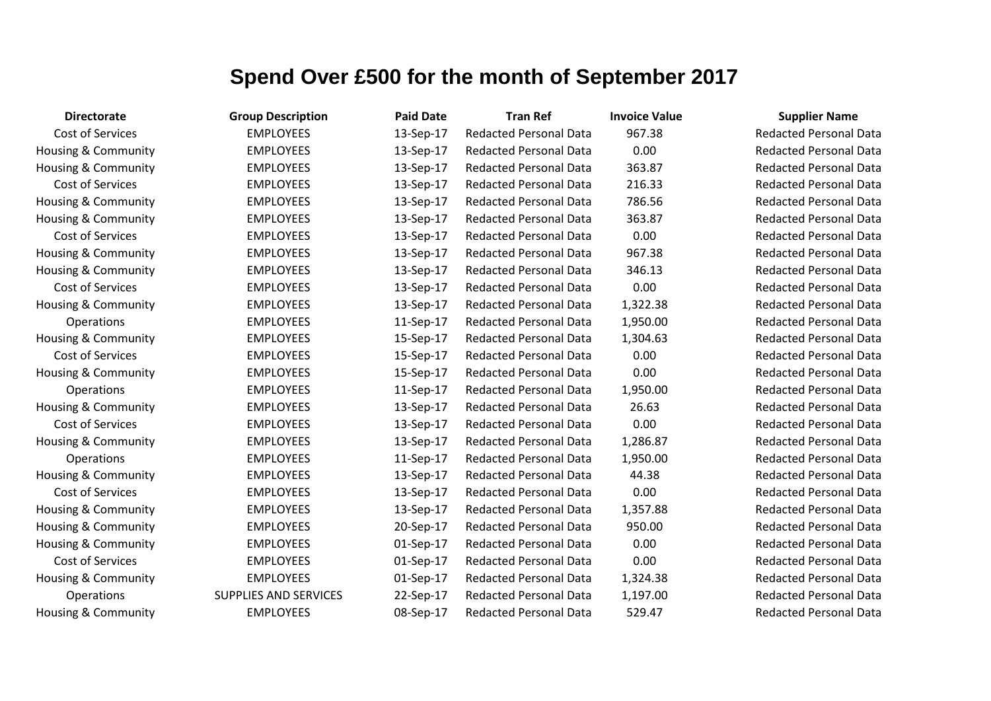| <b>Directorate</b>             | <b>Group Description</b>     | <b>Paid Date</b> | <b>Tran Ref</b>               | <b>Invoice Value</b> | <b>Supplier Name</b>     |
|--------------------------------|------------------------------|------------------|-------------------------------|----------------------|--------------------------|
| Cost of Services               | <b>EMPLOYEES</b>             | 13-Sep-17        | <b>Redacted Personal Data</b> | 967.38               | <b>Redacted Personal</b> |
| <b>Housing &amp; Community</b> | <b>EMPLOYEES</b>             | 13-Sep-17        | <b>Redacted Personal Data</b> | 0.00                 | Redacted Personal        |
| Housing & Community            | <b>EMPLOYEES</b>             | 13-Sep-17        | <b>Redacted Personal Data</b> | 363.87               | <b>Redacted Personal</b> |
| Cost of Services               | <b>EMPLOYEES</b>             | 13-Sep-17        | <b>Redacted Personal Data</b> | 216.33               | <b>Redacted Personal</b> |
| <b>Housing &amp; Community</b> | <b>EMPLOYEES</b>             | 13-Sep-17        | <b>Redacted Personal Data</b> | 786.56               | <b>Redacted Personal</b> |
| Housing & Community            | <b>EMPLOYEES</b>             | 13-Sep-17        | <b>Redacted Personal Data</b> | 363.87               | <b>Redacted Personal</b> |
| Cost of Services               | <b>EMPLOYEES</b>             | 13-Sep-17        | <b>Redacted Personal Data</b> | 0.00                 | <b>Redacted Personal</b> |
| Housing & Community            | <b>EMPLOYEES</b>             | 13-Sep-17        | <b>Redacted Personal Data</b> | 967.38               | Redacted Personal        |
| <b>Housing &amp; Community</b> | <b>EMPLOYEES</b>             | 13-Sep-17        | <b>Redacted Personal Data</b> | 346.13               | <b>Redacted Personal</b> |
| Cost of Services               | <b>EMPLOYEES</b>             | 13-Sep-17        | <b>Redacted Personal Data</b> | 0.00                 | <b>Redacted Personal</b> |
| Housing & Community            | <b>EMPLOYEES</b>             | 13-Sep-17        | <b>Redacted Personal Data</b> | 1,322.38             | <b>Redacted Personal</b> |
| Operations                     | <b>EMPLOYEES</b>             | 11-Sep-17        | <b>Redacted Personal Data</b> | 1,950.00             | <b>Redacted Personal</b> |
| Housing & Community            | <b>EMPLOYEES</b>             | 15-Sep-17        | <b>Redacted Personal Data</b> | 1,304.63             | <b>Redacted Personal</b> |
| Cost of Services               | <b>EMPLOYEES</b>             | 15-Sep-17        | <b>Redacted Personal Data</b> | 0.00                 | Redacted Personal        |
| Housing & Community            | <b>EMPLOYEES</b>             | 15-Sep-17        | <b>Redacted Personal Data</b> | 0.00                 | <b>Redacted Personal</b> |
| Operations                     | <b>EMPLOYEES</b>             | 11-Sep-17        | <b>Redacted Personal Data</b> | 1,950.00             | <b>Redacted Personal</b> |
| Housing & Community            | <b>EMPLOYEES</b>             | 13-Sep-17        | <b>Redacted Personal Data</b> | 26.63                | <b>Redacted Personal</b> |
| Cost of Services               | <b>EMPLOYEES</b>             | 13-Sep-17        | <b>Redacted Personal Data</b> | 0.00                 | <b>Redacted Personal</b> |
| Housing & Community            | <b>EMPLOYEES</b>             | 13-Sep-17        | <b>Redacted Personal Data</b> | 1,286.87             | <b>Redacted Personal</b> |
| Operations                     | <b>EMPLOYEES</b>             | 11-Sep-17        | <b>Redacted Personal Data</b> | 1,950.00             | <b>Redacted Personal</b> |
| Housing & Community            | <b>EMPLOYEES</b>             | 13-Sep-17        | <b>Redacted Personal Data</b> | 44.38                | <b>Redacted Personal</b> |
| Cost of Services               | <b>EMPLOYEES</b>             | 13-Sep-17        | <b>Redacted Personal Data</b> | 0.00                 | <b>Redacted Personal</b> |
| Housing & Community            | <b>EMPLOYEES</b>             | 13-Sep-17        | <b>Redacted Personal Data</b> | 1,357.88             | <b>Redacted Personal</b> |
| Housing & Community            | <b>EMPLOYEES</b>             | 20-Sep-17        | <b>Redacted Personal Data</b> | 950.00               | <b>Redacted Personal</b> |
| Housing & Community            | <b>EMPLOYEES</b>             | 01-Sep-17        | <b>Redacted Personal Data</b> | 0.00                 | <b>Redacted Personal</b> |
| Cost of Services               | <b>EMPLOYEES</b>             | 01-Sep-17        | <b>Redacted Personal Data</b> | 0.00                 | <b>Redacted Personal</b> |
| Housing & Community            | <b>EMPLOYEES</b>             | 01-Sep-17        | <b>Redacted Personal Data</b> | 1,324.38             | <b>Redacted Personal</b> |
| Operations                     | <b>SUPPLIES AND SERVICES</b> | 22-Sep-17        | <b>Redacted Personal Data</b> | 1,197.00             | <b>Redacted Personal</b> |
| Housing & Community            | <b>EMPLOYEES</b>             | 08-Sep-17        | <b>Redacted Personal Data</b> | 529.47               | <b>Redacted Personal</b> |

Redacted Personal Data Redacted Personal Data Redacted Personal Data Redacted Personal Data Redacted Personal Data Redacted Personal Data Redacted Personal Data Redacted Personal Data Redacted Personal Data Redacted Personal Data Redacted Personal Data Redacted Personal Data Redacted Personal Data Redacted Personal Data Redacted Personal Data Redacted Personal Data Redacted Personal Data Redacted Personal Data Redacted Personal Data Redacted Personal Data Redacted Personal Data Redacted Personal Data Redacted Personal Data Redacted Personal Data Redacted Personal Data Redacted Personal Data Redacted Personal Data Redacted Personal Data Redacted Personal Data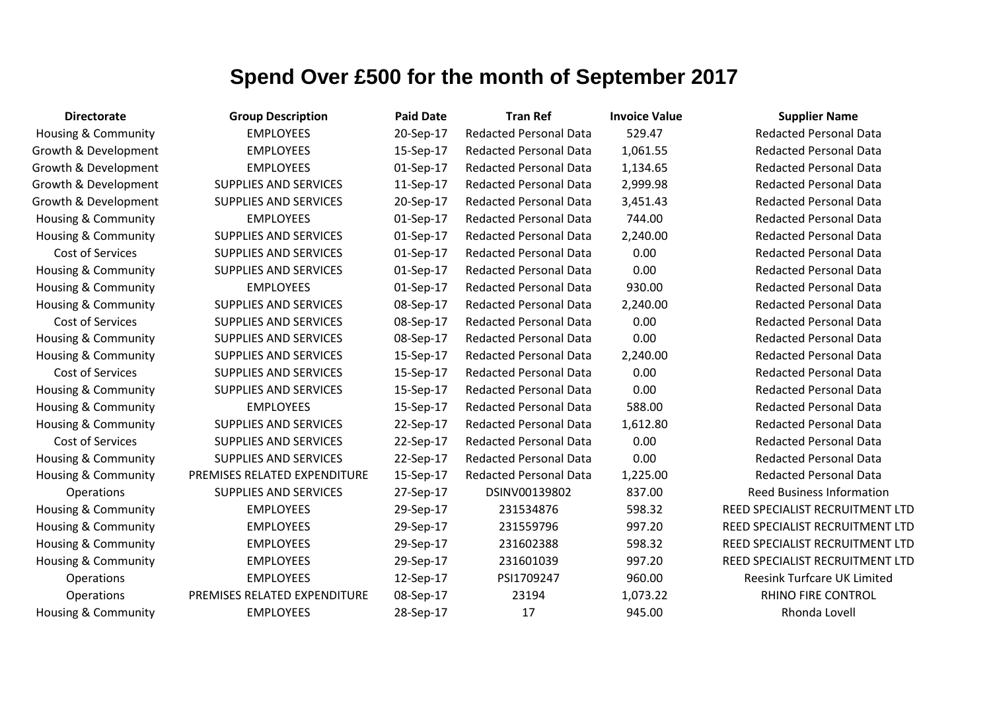| <b>Directorate</b>             | <b>Group Description</b>     | <b>Paid Date</b> | <b>Tran Ref</b>               | <b>Invoice Value</b> | <b>Supplier Name</b>               |
|--------------------------------|------------------------------|------------------|-------------------------------|----------------------|------------------------------------|
| Housing & Community            | <b>EMPLOYEES</b>             | 20-Sep-17        | <b>Redacted Personal Data</b> | 529.47               | <b>Redacted Personal Data</b>      |
| Growth & Development           | <b>EMPLOYEES</b>             | 15-Sep-17        | <b>Redacted Personal Data</b> | 1,061.55             | <b>Redacted Personal Data</b>      |
| Growth & Development           | <b>EMPLOYEES</b>             | 01-Sep-17        | <b>Redacted Personal Data</b> | 1,134.65             | <b>Redacted Personal Data</b>      |
| Growth & Development           | <b>SUPPLIES AND SERVICES</b> | 11-Sep-17        | <b>Redacted Personal Data</b> | 2,999.98             | <b>Redacted Personal Data</b>      |
| Growth & Development           | <b>SUPPLIES AND SERVICES</b> | 20-Sep-17        | <b>Redacted Personal Data</b> | 3,451.43             | <b>Redacted Personal Data</b>      |
| <b>Housing &amp; Community</b> | <b>EMPLOYEES</b>             | 01-Sep-17        | <b>Redacted Personal Data</b> | 744.00               | <b>Redacted Personal Data</b>      |
| Housing & Community            | <b>SUPPLIES AND SERVICES</b> | 01-Sep-17        | <b>Redacted Personal Data</b> | 2,240.00             | <b>Redacted Personal Data</b>      |
| Cost of Services               | <b>SUPPLIES AND SERVICES</b> | 01-Sep-17        | <b>Redacted Personal Data</b> | 0.00                 | <b>Redacted Personal Data</b>      |
| <b>Housing &amp; Community</b> | <b>SUPPLIES AND SERVICES</b> | 01-Sep-17        | <b>Redacted Personal Data</b> | 0.00                 | <b>Redacted Personal Data</b>      |
| Housing & Community            | <b>EMPLOYEES</b>             | 01-Sep-17        | <b>Redacted Personal Data</b> | 930.00               | <b>Redacted Personal Data</b>      |
| Housing & Community            | <b>SUPPLIES AND SERVICES</b> | 08-Sep-17        | <b>Redacted Personal Data</b> | 2,240.00             | <b>Redacted Personal Data</b>      |
| Cost of Services               | <b>SUPPLIES AND SERVICES</b> | 08-Sep-17        | <b>Redacted Personal Data</b> | 0.00                 | <b>Redacted Personal Data</b>      |
| <b>Housing &amp; Community</b> | <b>SUPPLIES AND SERVICES</b> | 08-Sep-17        | <b>Redacted Personal Data</b> | 0.00                 | <b>Redacted Personal Data</b>      |
| Housing & Community            | <b>SUPPLIES AND SERVICES</b> | 15-Sep-17        | <b>Redacted Personal Data</b> | 2,240.00             | <b>Redacted Personal Data</b>      |
| Cost of Services               | <b>SUPPLIES AND SERVICES</b> | 15-Sep-17        | <b>Redacted Personal Data</b> | 0.00                 | <b>Redacted Personal Data</b>      |
| Housing & Community            | <b>SUPPLIES AND SERVICES</b> | 15-Sep-17        | <b>Redacted Personal Data</b> | 0.00                 | <b>Redacted Personal Data</b>      |
| Housing & Community            | <b>EMPLOYEES</b>             | 15-Sep-17        | <b>Redacted Personal Data</b> | 588.00               | <b>Redacted Personal Data</b>      |
| Housing & Community            | <b>SUPPLIES AND SERVICES</b> | 22-Sep-17        | <b>Redacted Personal Data</b> | 1,612.80             | <b>Redacted Personal Data</b>      |
| Cost of Services               | <b>SUPPLIES AND SERVICES</b> | 22-Sep-17        | <b>Redacted Personal Data</b> | 0.00                 | <b>Redacted Personal Data</b>      |
| <b>Housing &amp; Community</b> | <b>SUPPLIES AND SERVICES</b> | 22-Sep-17        | <b>Redacted Personal Data</b> | 0.00                 | <b>Redacted Personal Data</b>      |
| <b>Housing &amp; Community</b> | PREMISES RELATED EXPENDITURE | 15-Sep-17        | <b>Redacted Personal Data</b> | 1,225.00             | <b>Redacted Personal Data</b>      |
| Operations                     | <b>SUPPLIES AND SERVICES</b> | 27-Sep-17        | DSINV00139802                 | 837.00               | <b>Reed Business Information</b>   |
| Housing & Community            | <b>EMPLOYEES</b>             | 29-Sep-17        | 231534876                     | 598.32               | REED SPECIALIST RECRUITMENT LTD    |
| <b>Housing &amp; Community</b> | <b>EMPLOYEES</b>             | 29-Sep-17        | 231559796                     | 997.20               | REED SPECIALIST RECRUITMENT LTD    |
| Housing & Community            | <b>EMPLOYEES</b>             | 29-Sep-17        | 231602388                     | 598.32               | REED SPECIALIST RECRUITMENT LTD    |
| <b>Housing &amp; Community</b> | <b>EMPLOYEES</b>             | 29-Sep-17        | 231601039                     | 997.20               | REED SPECIALIST RECRUITMENT LTD    |
| <b>Operations</b>              | <b>EMPLOYEES</b>             | 12-Sep-17        | PSI1709247                    | 960.00               | <b>Reesink Turfcare UK Limited</b> |
| Operations                     | PREMISES RELATED EXPENDITURE | 08-Sep-17        | 23194                         | 1,073.22             | RHINO FIRE CONTROL                 |
| <b>Housing &amp; Community</b> | <b>EMPLOYEES</b>             | 28-Sep-17        | 17                            | 945.00               | Rhonda Lovell                      |
|                                |                              |                  |                               |                      |                                    |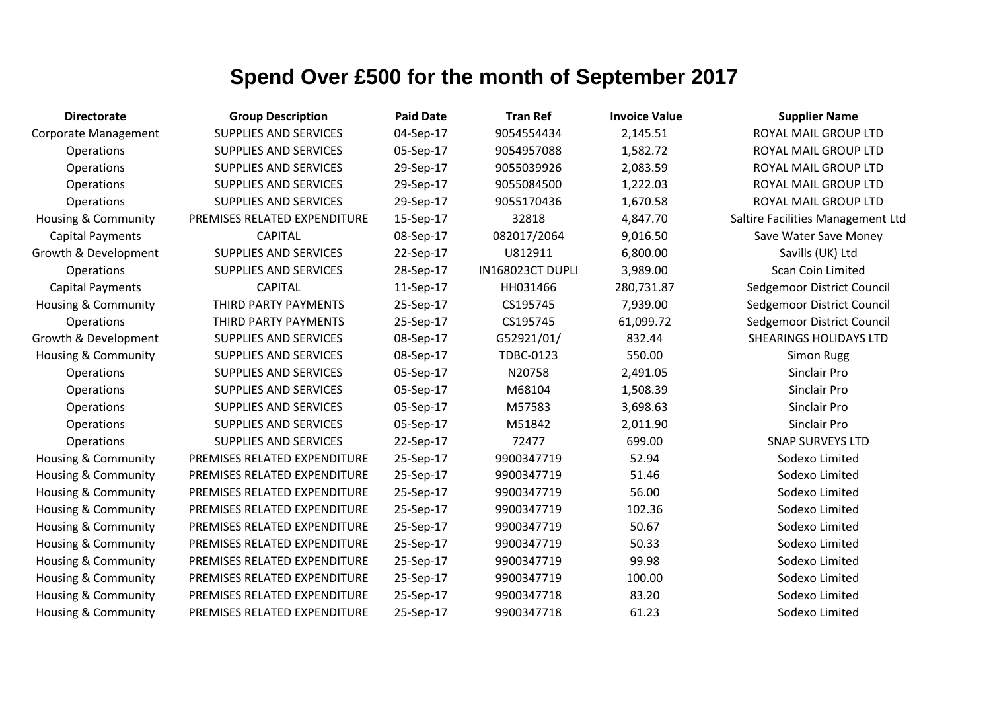| <b>Directorate</b>             | <b>Group Description</b>     | <b>Paid Date</b> | <b>Tran Ref</b>  | <b>Invoice Value</b> | <b>Supplier Name</b>              |
|--------------------------------|------------------------------|------------------|------------------|----------------------|-----------------------------------|
| <b>Corporate Management</b>    | <b>SUPPLIES AND SERVICES</b> | 04-Sep-17        | 9054554434       | 2,145.51             | ROYAL MAIL GROUP LTD              |
| <b>Operations</b>              | SUPPLIES AND SERVICES        | 05-Sep-17        | 9054957088       | 1,582.72             | ROYAL MAIL GROUP LTD              |
| Operations                     | <b>SUPPLIES AND SERVICES</b> | 29-Sep-17        | 9055039926       | 2,083.59             | ROYAL MAIL GROUP LTD              |
| Operations                     | <b>SUPPLIES AND SERVICES</b> | 29-Sep-17        | 9055084500       | 1,222.03             | ROYAL MAIL GROUP LTD              |
| Operations                     | <b>SUPPLIES AND SERVICES</b> | 29-Sep-17        | 9055170436       | 1,670.58             | ROYAL MAIL GROUP LTD              |
| Housing & Community            | PREMISES RELATED EXPENDITURE | 15-Sep-17        | 32818            | 4,847.70             | Saltire Facilities Management Ltd |
| <b>Capital Payments</b>        | <b>CAPITAL</b>               | 08-Sep-17        | 082017/2064      | 9,016.50             | Save Water Save Money             |
| Growth & Development           | <b>SUPPLIES AND SERVICES</b> | 22-Sep-17        | U812911          | 6,800.00             | Savills (UK) Ltd                  |
| Operations                     | SUPPLIES AND SERVICES        | 28-Sep-17        | IN168023CT DUPLI | 3,989.00             | Scan Coin Limited                 |
| <b>Capital Payments</b>        | <b>CAPITAL</b>               | 11-Sep-17        | HH031466         | 280,731.87           | Sedgemoor District Council        |
| Housing & Community            | THIRD PARTY PAYMENTS         | 25-Sep-17        | CS195745         | 7,939.00             | Sedgemoor District Council        |
| Operations                     | THIRD PARTY PAYMENTS         | 25-Sep-17        | CS195745         | 61,099.72            | Sedgemoor District Council        |
| Growth & Development           | <b>SUPPLIES AND SERVICES</b> | 08-Sep-17        | G52921/01/       | 832.44               | <b>SHEARINGS HOLIDAYS LTD</b>     |
| <b>Housing &amp; Community</b> | <b>SUPPLIES AND SERVICES</b> | 08-Sep-17        | <b>TDBC-0123</b> | 550.00               | Simon Rugg                        |
| Operations                     | <b>SUPPLIES AND SERVICES</b> | 05-Sep-17        | N20758           | 2,491.05             | Sinclair Pro                      |
| Operations                     | <b>SUPPLIES AND SERVICES</b> | 05-Sep-17        | M68104           | 1,508.39             | Sinclair Pro                      |
| Operations                     | <b>SUPPLIES AND SERVICES</b> | 05-Sep-17        | M57583           | 3,698.63             | Sinclair Pro                      |
| Operations                     | <b>SUPPLIES AND SERVICES</b> | 05-Sep-17        | M51842           | 2,011.90             | Sinclair Pro                      |
| Operations                     | <b>SUPPLIES AND SERVICES</b> | 22-Sep-17        | 72477            | 699.00               | <b>SNAP SURVEYS LTD</b>           |
| Housing & Community            | PREMISES RELATED EXPENDITURE | 25-Sep-17        | 9900347719       | 52.94                | Sodexo Limited                    |
| Housing & Community            | PREMISES RELATED EXPENDITURE | 25-Sep-17        | 9900347719       | 51.46                | Sodexo Limited                    |
| Housing & Community            | PREMISES RELATED EXPENDITURE | 25-Sep-17        | 9900347719       | 56.00                | Sodexo Limited                    |
| Housing & Community            | PREMISES RELATED EXPENDITURE | 25-Sep-17        | 9900347719       | 102.36               | Sodexo Limited                    |
| Housing & Community            | PREMISES RELATED EXPENDITURE | 25-Sep-17        | 9900347719       | 50.67                | Sodexo Limited                    |
| Housing & Community            | PREMISES RELATED EXPENDITURE | 25-Sep-17        | 9900347719       | 50.33                | Sodexo Limited                    |
| Housing & Community            | PREMISES RELATED EXPENDITURE | 25-Sep-17        | 9900347719       | 99.98                | Sodexo Limited                    |
| Housing & Community            | PREMISES RELATED EXPENDITURE | 25-Sep-17        | 9900347719       | 100.00               | Sodexo Limited                    |
| Housing & Community            | PREMISES RELATED EXPENDITURE | 25-Sep-17        | 9900347718       | 83.20                | Sodexo Limited                    |
| <b>Housing &amp; Community</b> | PREMISES RELATED EXPENDITURE | 25-Sep-17        | 9900347718       | 61.23                | Sodexo Limited                    |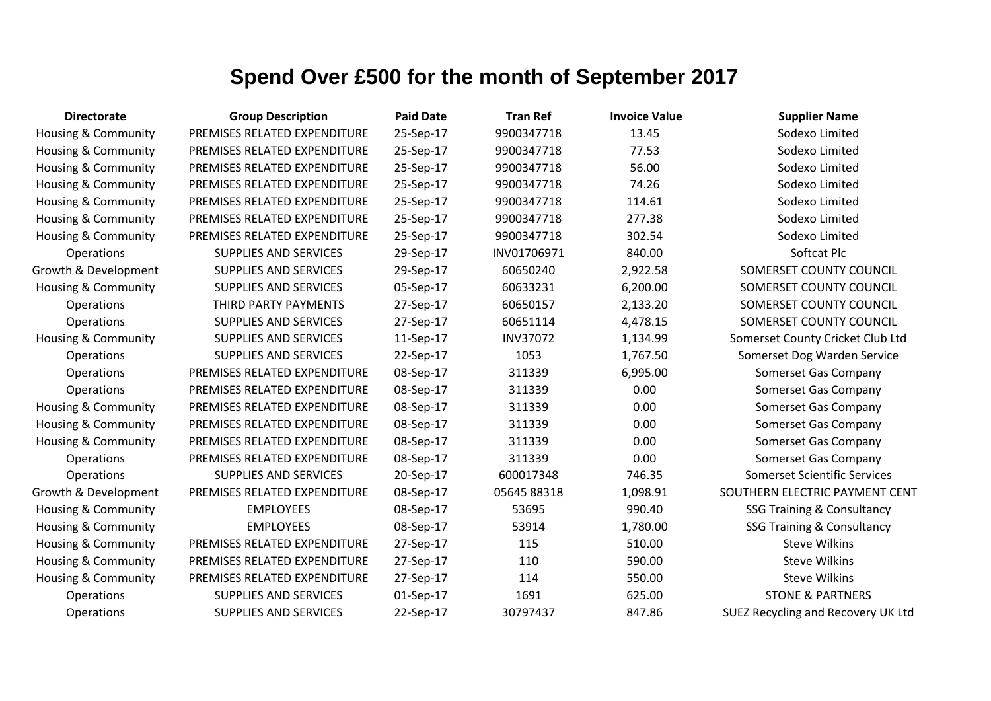| <b>Directorate</b>             | <b>Group Description</b>     | <b>Paid Date</b> | <b>Tran Ref</b> | <b>Invoice Value</b> | <b>Supplier Name</b>                  |
|--------------------------------|------------------------------|------------------|-----------------|----------------------|---------------------------------------|
| Housing & Community            | PREMISES RELATED EXPENDITURE | 25-Sep-17        | 9900347718      | 13.45                | Sodexo Limited                        |
| Housing & Community            | PREMISES RELATED EXPENDITURE | 25-Sep-17        | 9900347718      | 77.53                | Sodexo Limited                        |
| Housing & Community            | PREMISES RELATED EXPENDITURE | 25-Sep-17        | 9900347718      | 56.00                | Sodexo Limited                        |
| Housing & Community            | PREMISES RELATED EXPENDITURE | 25-Sep-17        | 9900347718      | 74.26                | Sodexo Limited                        |
| Housing & Community            | PREMISES RELATED EXPENDITURE | 25-Sep-17        | 9900347718      | 114.61               | Sodexo Limited                        |
| Housing & Community            | PREMISES RELATED EXPENDITURE | 25-Sep-17        | 9900347718      | 277.38               | Sodexo Limited                        |
| <b>Housing &amp; Community</b> | PREMISES RELATED EXPENDITURE | 25-Sep-17        | 9900347718      | 302.54               | Sodexo Limited                        |
| Operations                     | <b>SUPPLIES AND SERVICES</b> | 29-Sep-17        | INV01706971     | 840.00               | Softcat Plc                           |
| Growth & Development           | SUPPLIES AND SERVICES        | 29-Sep-17        | 60650240        | 2,922.58             | SOMERSET COUNTY COUNCIL               |
| Housing & Community            | SUPPLIES AND SERVICES        | 05-Sep-17        | 60633231        | 6,200.00             | SOMERSET COUNTY COUNCIL               |
| <b>Operations</b>              | THIRD PARTY PAYMENTS         | 27-Sep-17        | 60650157        | 2,133.20             | SOMERSET COUNTY COUNCIL               |
| Operations                     | SUPPLIES AND SERVICES        | 27-Sep-17        | 60651114        | 4,478.15             | SOMERSET COUNTY COUNCIL               |
| <b>Housing &amp; Community</b> | SUPPLIES AND SERVICES        | 11-Sep-17        | <b>INV37072</b> | 1,134.99             | Somerset County Cricket Club Ltd      |
| Operations                     | SUPPLIES AND SERVICES        | 22-Sep-17        | 1053            | 1,767.50             | Somerset Dog Warden Service           |
| Operations                     | PREMISES RELATED EXPENDITURE | 08-Sep-17        | 311339          | 6,995.00             | Somerset Gas Company                  |
| Operations                     | PREMISES RELATED EXPENDITURE | 08-Sep-17        | 311339          | 0.00                 | Somerset Gas Company                  |
| Housing & Community            | PREMISES RELATED EXPENDITURE | 08-Sep-17        | 311339          | 0.00                 | Somerset Gas Company                  |
| <b>Housing &amp; Community</b> | PREMISES RELATED EXPENDITURE | 08-Sep-17        | 311339          | 0.00                 | Somerset Gas Company                  |
| Housing & Community            | PREMISES RELATED EXPENDITURE | 08-Sep-17        | 311339          | 0.00                 | Somerset Gas Company                  |
| Operations                     | PREMISES RELATED EXPENDITURE | 08-Sep-17        | 311339          | 0.00                 | Somerset Gas Company                  |
| Operations                     | <b>SUPPLIES AND SERVICES</b> | 20-Sep-17        | 600017348       | 746.35               | <b>Somerset Scientific Services</b>   |
| Growth & Development           | PREMISES RELATED EXPENDITURE | 08-Sep-17        | 05645 88318     | 1,098.91             | SOUTHERN ELECTRIC PAYMENT CENT        |
| Housing & Community            | <b>EMPLOYEES</b>             | 08-Sep-17        | 53695           | 990.40               | <b>SSG Training &amp; Consultancy</b> |
| Housing & Community            | <b>EMPLOYEES</b>             | 08-Sep-17        | 53914           | 1,780.00             | <b>SSG Training &amp; Consultancy</b> |
| Housing & Community            | PREMISES RELATED EXPENDITURE | 27-Sep-17        | 115             | 510.00               | <b>Steve Wilkins</b>                  |
| <b>Housing &amp; Community</b> | PREMISES RELATED EXPENDITURE | 27-Sep-17        | 110             | 590.00               | <b>Steve Wilkins</b>                  |
| Housing & Community            | PREMISES RELATED EXPENDITURE | 27-Sep-17        | 114             | 550.00               | <b>Steve Wilkins</b>                  |
| Operations                     | <b>SUPPLIES AND SERVICES</b> | 01-Sep-17        | 1691            | 625.00               | <b>STONE &amp; PARTNERS</b>           |
| Operations                     | <b>SUPPLIES AND SERVICES</b> | 22-Sep-17        | 30797437        | 847.86               | SUEZ Recycling and Recovery UK Ltd    |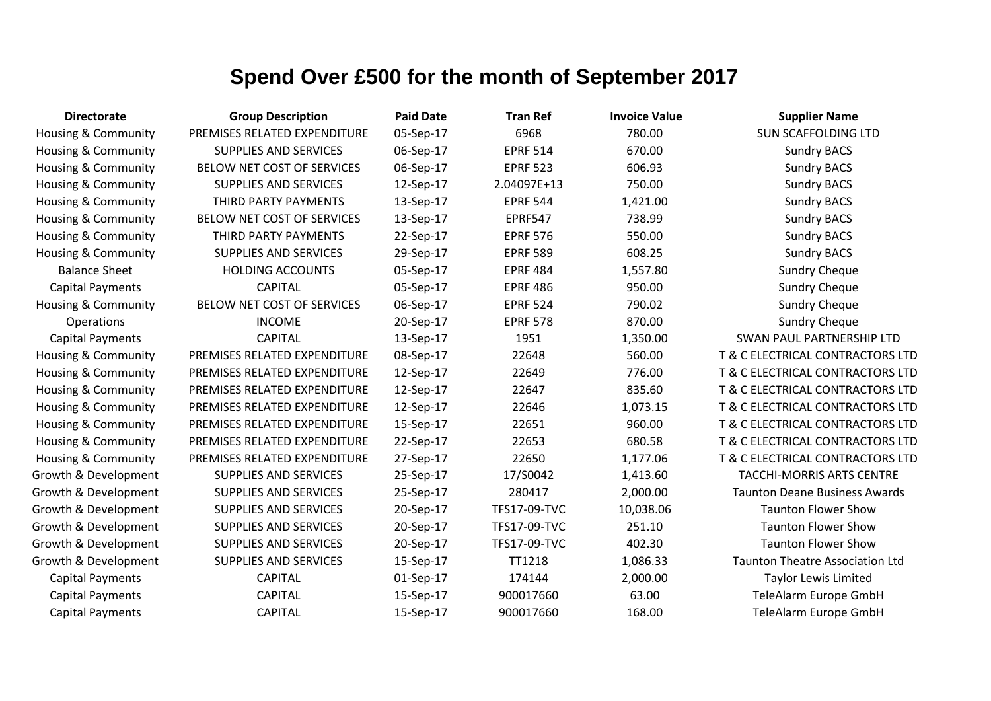| <b>Directorate</b>             | <b>Group Description</b>     | <b>Paid Date</b> | <b>Tran Ref</b> | <b>Invoice Value</b> | <b>Supplier Name</b>                   |
|--------------------------------|------------------------------|------------------|-----------------|----------------------|----------------------------------------|
| Housing & Community            | PREMISES RELATED EXPENDITURE | 05-Sep-17        | 6968            | 780.00               | <b>SUN SCAFFOLDING LTD</b>             |
| Housing & Community            | <b>SUPPLIES AND SERVICES</b> | 06-Sep-17        | <b>EPRF 514</b> | 670.00               | <b>Sundry BACS</b>                     |
| <b>Housing &amp; Community</b> | BELOW NET COST OF SERVICES   | 06-Sep-17        | <b>EPRF 523</b> | 606.93               | <b>Sundry BACS</b>                     |
| <b>Housing &amp; Community</b> | <b>SUPPLIES AND SERVICES</b> | 12-Sep-17        | 2.04097E+13     | 750.00               | <b>Sundry BACS</b>                     |
| <b>Housing &amp; Community</b> | THIRD PARTY PAYMENTS         | 13-Sep-17        | <b>EPRF 544</b> | 1,421.00             | <b>Sundry BACS</b>                     |
| <b>Housing &amp; Community</b> | BELOW NET COST OF SERVICES   | 13-Sep-17        | <b>EPRF547</b>  | 738.99               | <b>Sundry BACS</b>                     |
| <b>Housing &amp; Community</b> | THIRD PARTY PAYMENTS         | 22-Sep-17        | <b>EPRF 576</b> | 550.00               | <b>Sundry BACS</b>                     |
| <b>Housing &amp; Community</b> | <b>SUPPLIES AND SERVICES</b> | 29-Sep-17        | <b>EPRF 589</b> | 608.25               | <b>Sundry BACS</b>                     |
| <b>Balance Sheet</b>           | <b>HOLDING ACCOUNTS</b>      | 05-Sep-17        | <b>EPRF 484</b> | 1,557.80             | <b>Sundry Cheque</b>                   |
| <b>Capital Payments</b>        | <b>CAPITAL</b>               | 05-Sep-17        | <b>EPRF 486</b> | 950.00               | <b>Sundry Cheque</b>                   |
| Housing & Community            | BELOW NET COST OF SERVICES   | 06-Sep-17        | <b>EPRF 524</b> | 790.02               | <b>Sundry Cheque</b>                   |
| Operations                     | <b>INCOME</b>                | 20-Sep-17        | <b>EPRF 578</b> | 870.00               | <b>Sundry Cheque</b>                   |
| <b>Capital Payments</b>        | <b>CAPITAL</b>               | 13-Sep-17        | 1951            | 1,350.00             | SWAN PAUL PARTNERSHIP LTD              |
| <b>Housing &amp; Community</b> | PREMISES RELATED EXPENDITURE | 08-Sep-17        | 22648           | 560.00               | T & C ELECTRICAL CONTRACTORS LTD       |
| Housing & Community            | PREMISES RELATED EXPENDITURE | 12-Sep-17        | 22649           | 776.00               | T & C ELECTRICAL CONTRACTORS LTD       |
| Housing & Community            | PREMISES RELATED EXPENDITURE | 12-Sep-17        | 22647           | 835.60               | T & C ELECTRICAL CONTRACTORS LTD       |
| Housing & Community            | PREMISES RELATED EXPENDITURE | 12-Sep-17        | 22646           | 1,073.15             | T & C ELECTRICAL CONTRACTORS LTD       |
| Housing & Community            | PREMISES RELATED EXPENDITURE | 15-Sep-17        | 22651           | 960.00               | T & C ELECTRICAL CONTRACTORS LTD       |
| Housing & Community            | PREMISES RELATED EXPENDITURE | 22-Sep-17        | 22653           | 680.58               | T & C ELECTRICAL CONTRACTORS LTD       |
| Housing & Community            | PREMISES RELATED EXPENDITURE | 27-Sep-17        | 22650           | 1,177.06             | T & C ELECTRICAL CONTRACTORS LTD       |
| Growth & Development           | <b>SUPPLIES AND SERVICES</b> | 25-Sep-17        | 17/S0042        | 1,413.60             | <b>TACCHI-MORRIS ARTS CENTRE</b>       |
| Growth & Development           | SUPPLIES AND SERVICES        | 25-Sep-17        | 280417          | 2,000.00             | <b>Taunton Deane Business Awards</b>   |
| Growth & Development           | SUPPLIES AND SERVICES        | 20-Sep-17        | TFS17-09-TVC    | 10,038.06            | <b>Taunton Flower Show</b>             |
| Growth & Development           | <b>SUPPLIES AND SERVICES</b> | 20-Sep-17        | TFS17-09-TVC    | 251.10               | <b>Taunton Flower Show</b>             |
| Growth & Development           | <b>SUPPLIES AND SERVICES</b> | 20-Sep-17        | TFS17-09-TVC    | 402.30               | <b>Taunton Flower Show</b>             |
| Growth & Development           | <b>SUPPLIES AND SERVICES</b> | 15-Sep-17        | TT1218          | 1,086.33             | <b>Taunton Theatre Association Ltd</b> |
| <b>Capital Payments</b>        | <b>CAPITAL</b>               | 01-Sep-17        | 174144          | 2,000.00             | <b>Taylor Lewis Limited</b>            |
| <b>Capital Payments</b>        | <b>CAPITAL</b>               | 15-Sep-17        | 900017660       | 63.00                | TeleAlarm Europe GmbH                  |
| <b>Capital Payments</b>        | <b>CAPITAL</b>               | 15-Sep-17        | 900017660       | 168.00               | TeleAlarm Europe GmbH                  |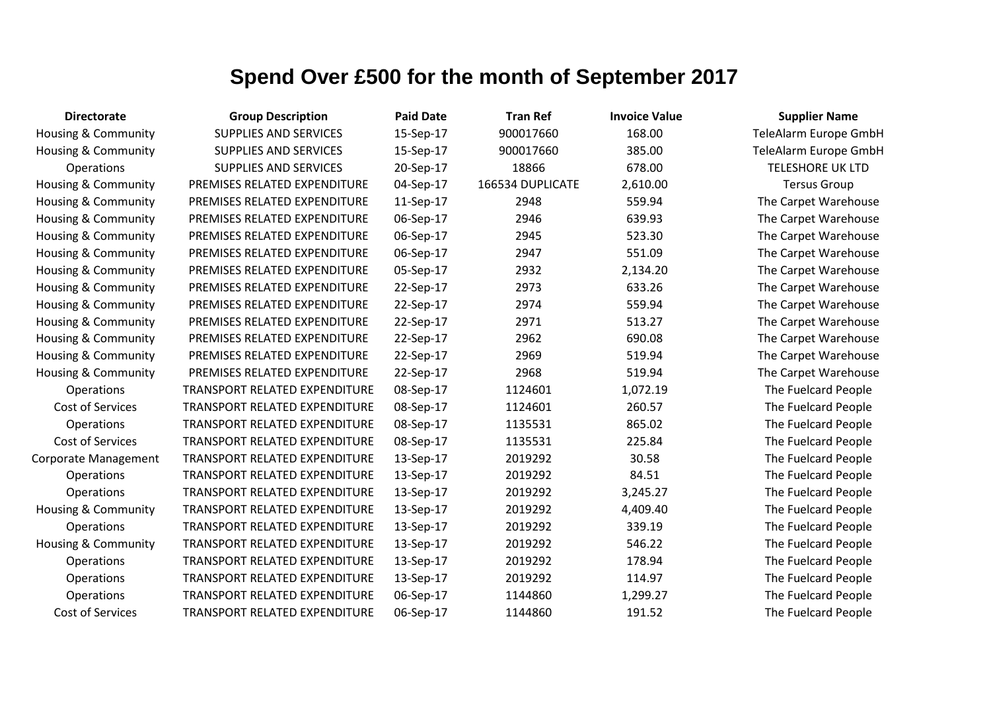| <b>Directorate</b>             | <b>Group Description</b>             | <b>Paid Date</b> | <b>Tran Ref</b>  | <b>Invoice Value</b> | <b>Supplier Name</b>    |
|--------------------------------|--------------------------------------|------------------|------------------|----------------------|-------------------------|
| Housing & Community            | <b>SUPPLIES AND SERVICES</b>         | 15-Sep-17        | 900017660        | 168.00               | TeleAlarm Europe GmbH   |
| <b>Housing &amp; Community</b> | <b>SUPPLIES AND SERVICES</b>         | 15-Sep-17        | 900017660        | 385.00               | TeleAlarm Europe GmbH   |
| <b>Operations</b>              | <b>SUPPLIES AND SERVICES</b>         | 20-Sep-17        | 18866            | 678.00               | <b>TELESHORE UK LTD</b> |
| Housing & Community            | PREMISES RELATED EXPENDITURE         | 04-Sep-17        | 166534 DUPLICATE | 2,610.00             | <b>Tersus Group</b>     |
| <b>Housing &amp; Community</b> | PREMISES RELATED EXPENDITURE         | 11-Sep-17        | 2948             | 559.94               | The Carpet Warehouse    |
| <b>Housing &amp; Community</b> | PREMISES RELATED EXPENDITURE         | 06-Sep-17        | 2946             | 639.93               | The Carpet Warehouse    |
| Housing & Community            | PREMISES RELATED EXPENDITURE         | 06-Sep-17        | 2945             | 523.30               | The Carpet Warehouse    |
| <b>Housing &amp; Community</b> | PREMISES RELATED EXPENDITURE         | 06-Sep-17        | 2947             | 551.09               | The Carpet Warehouse    |
| Housing & Community            | PREMISES RELATED EXPENDITURE         | 05-Sep-17        | 2932             | 2,134.20             | The Carpet Warehouse    |
| <b>Housing &amp; Community</b> | PREMISES RELATED EXPENDITURE         | 22-Sep-17        | 2973             | 633.26               | The Carpet Warehouse    |
| <b>Housing &amp; Community</b> | PREMISES RELATED EXPENDITURE         | 22-Sep-17        | 2974             | 559.94               | The Carpet Warehouse    |
| Housing & Community            | PREMISES RELATED EXPENDITURE         | 22-Sep-17        | 2971             | 513.27               | The Carpet Warehouse    |
| <b>Housing &amp; Community</b> | PREMISES RELATED EXPENDITURE         | 22-Sep-17        | 2962             | 690.08               | The Carpet Warehouse    |
| <b>Housing &amp; Community</b> | PREMISES RELATED EXPENDITURE         | 22-Sep-17        | 2969             | 519.94               | The Carpet Warehouse    |
| Housing & Community            | PREMISES RELATED EXPENDITURE         | 22-Sep-17        | 2968             | 519.94               | The Carpet Warehouse    |
| Operations                     | TRANSPORT RELATED EXPENDITURE        | 08-Sep-17        | 1124601          | 1,072.19             | The Fuelcard People     |
| Cost of Services               | TRANSPORT RELATED EXPENDITURE        | 08-Sep-17        | 1124601          | 260.57               | The Fuelcard People     |
| Operations                     | TRANSPORT RELATED EXPENDITURE        | 08-Sep-17        | 1135531          | 865.02               | The Fuelcard People     |
| Cost of Services               | <b>TRANSPORT RELATED EXPENDITURE</b> | 08-Sep-17        | 1135531          | 225.84               | The Fuelcard People     |
| Corporate Management           | TRANSPORT RELATED EXPENDITURE        | 13-Sep-17        | 2019292          | 30.58                | The Fuelcard People     |
| Operations                     | TRANSPORT RELATED EXPENDITURE        | 13-Sep-17        | 2019292          | 84.51                | The Fuelcard People     |
| Operations                     | TRANSPORT RELATED EXPENDITURE        | 13-Sep-17        | 2019292          | 3,245.27             | The Fuelcard People     |
| Housing & Community            | TRANSPORT RELATED EXPENDITURE        | 13-Sep-17        | 2019292          | 4,409.40             | The Fuelcard People     |
| Operations                     | TRANSPORT RELATED EXPENDITURE        | 13-Sep-17        | 2019292          | 339.19               | The Fuelcard People     |
| <b>Housing &amp; Community</b> | TRANSPORT RELATED EXPENDITURE        | 13-Sep-17        | 2019292          | 546.22               | The Fuelcard People     |
| <b>Operations</b>              | TRANSPORT RELATED EXPENDITURE        | 13-Sep-17        | 2019292          | 178.94               | The Fuelcard People     |
| Operations                     | TRANSPORT RELATED EXPENDITURE        | 13-Sep-17        | 2019292          | 114.97               | The Fuelcard People     |
| Operations                     | TRANSPORT RELATED EXPENDITURE        | 06-Sep-17        | 1144860          | 1,299.27             | The Fuelcard People     |
| Cost of Services               | TRANSPORT RELATED EXPENDITURE        | 06-Sep-17        | 1144860          | 191.52               | The Fuelcard People     |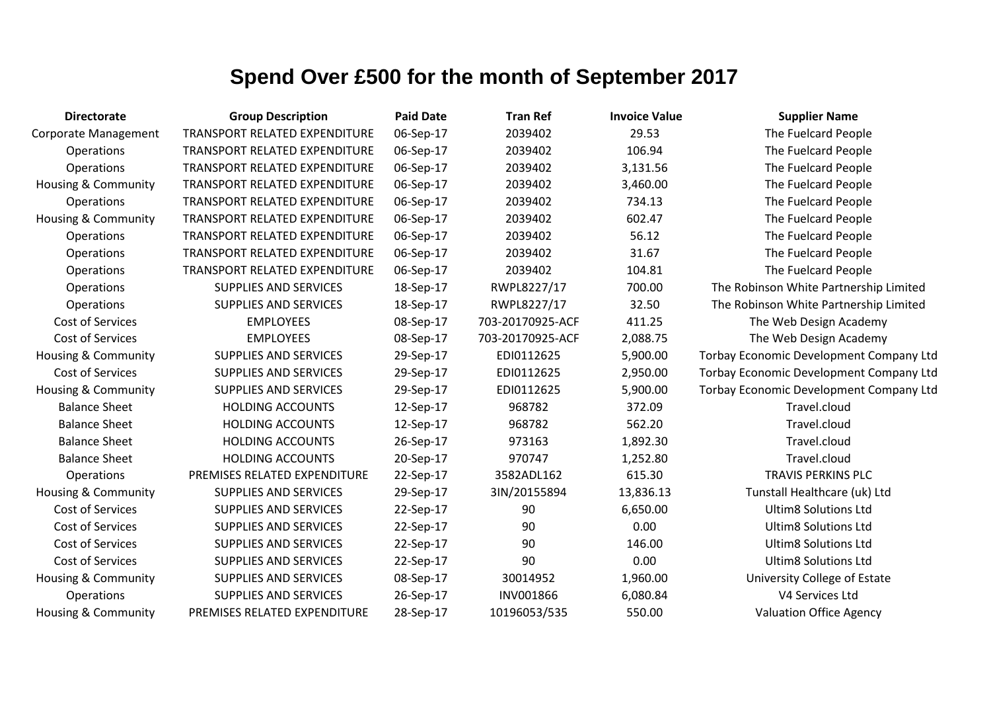| <b>Directorate</b>             | <b>Group Description</b>      | <b>Paid Date</b> | <b>Tran Ref</b>  | <b>Invoice Value</b> | <b>Supplier Name</b>                    |
|--------------------------------|-------------------------------|------------------|------------------|----------------------|-----------------------------------------|
| <b>Corporate Management</b>    | TRANSPORT RELATED EXPENDITURE | 06-Sep-17        | 2039402          | 29.53                | The Fuelcard People                     |
| Operations                     | TRANSPORT RELATED EXPENDITURE | 06-Sep-17        | 2039402          | 106.94               | The Fuelcard People                     |
| Operations                     | TRANSPORT RELATED EXPENDITURE | 06-Sep-17        | 2039402          | 3,131.56             | The Fuelcard People                     |
| Housing & Community            | TRANSPORT RELATED EXPENDITURE | 06-Sep-17        | 2039402          | 3,460.00             | The Fuelcard People                     |
| Operations                     | TRANSPORT RELATED EXPENDITURE | 06-Sep-17        | 2039402          | 734.13               | The Fuelcard People                     |
| <b>Housing &amp; Community</b> | TRANSPORT RELATED EXPENDITURE | 06-Sep-17        | 2039402          | 602.47               | The Fuelcard People                     |
| Operations                     | TRANSPORT RELATED EXPENDITURE | 06-Sep-17        | 2039402          | 56.12                | The Fuelcard People                     |
| Operations                     | TRANSPORT RELATED EXPENDITURE | 06-Sep-17        | 2039402          | 31.67                | The Fuelcard People                     |
| Operations                     | TRANSPORT RELATED EXPENDITURE | 06-Sep-17        | 2039402          | 104.81               | The Fuelcard People                     |
| Operations                     | <b>SUPPLIES AND SERVICES</b>  | 18-Sep-17        | RWPL8227/17      | 700.00               | The Robinson White Partnership Limited  |
| Operations                     | <b>SUPPLIES AND SERVICES</b>  | 18-Sep-17        | RWPL8227/17      | 32.50                | The Robinson White Partnership Limited  |
| <b>Cost of Services</b>        | <b>EMPLOYEES</b>              | 08-Sep-17        | 703-20170925-ACF | 411.25               | The Web Design Academy                  |
| Cost of Services               | <b>EMPLOYEES</b>              | 08-Sep-17        | 703-20170925-ACF | 2,088.75             | The Web Design Academy                  |
| Housing & Community            | <b>SUPPLIES AND SERVICES</b>  | 29-Sep-17        | EDI0112625       | 5,900.00             | Torbay Economic Development Company Ltd |
| Cost of Services               | <b>SUPPLIES AND SERVICES</b>  | 29-Sep-17        | EDI0112625       | 2,950.00             | Torbay Economic Development Company Ltd |
| Housing & Community            | <b>SUPPLIES AND SERVICES</b>  | 29-Sep-17        | EDI0112625       | 5,900.00             | Torbay Economic Development Company Ltd |
| <b>Balance Sheet</b>           | <b>HOLDING ACCOUNTS</b>       | 12-Sep-17        | 968782           | 372.09               | Travel.cloud                            |
| <b>Balance Sheet</b>           | <b>HOLDING ACCOUNTS</b>       | 12-Sep-17        | 968782           | 562.20               | Travel.cloud                            |
| <b>Balance Sheet</b>           | <b>HOLDING ACCOUNTS</b>       | 26-Sep-17        | 973163           | 1,892.30             | Travel.cloud                            |
| <b>Balance Sheet</b>           | <b>HOLDING ACCOUNTS</b>       | 20-Sep-17        | 970747           | 1,252.80             | Travel.cloud                            |
| Operations                     | PREMISES RELATED EXPENDITURE  | 22-Sep-17        | 3582ADL162       | 615.30               | <b>TRAVIS PERKINS PLC</b>               |
| <b>Housing &amp; Community</b> | <b>SUPPLIES AND SERVICES</b>  | 29-Sep-17        | 3IN/20155894     | 13,836.13            | Tunstall Healthcare (uk) Ltd            |
| Cost of Services               | <b>SUPPLIES AND SERVICES</b>  | 22-Sep-17        | 90               | 6,650.00             | <b>Ultim8 Solutions Ltd</b>             |
| Cost of Services               | <b>SUPPLIES AND SERVICES</b>  | 22-Sep-17        | 90               | 0.00                 | <b>Ultim8 Solutions Ltd</b>             |
| Cost of Services               | <b>SUPPLIES AND SERVICES</b>  | 22-Sep-17        | 90               | 146.00               | <b>Ultim8 Solutions Ltd</b>             |
| Cost of Services               | SUPPLIES AND SERVICES         | 22-Sep-17        | 90               | 0.00                 | <b>Ultim8 Solutions Ltd</b>             |
| Housing & Community            | <b>SUPPLIES AND SERVICES</b>  | 08-Sep-17        | 30014952         | 1,960.00             | University College of Estate            |
| Operations                     | <b>SUPPLIES AND SERVICES</b>  | 26-Sep-17        | INV001866        | 6,080.84             | V4 Services Ltd                         |
| Housing & Community            | PREMISES RELATED EXPENDITURE  | 28-Sep-17        | 10196053/535     | 550.00               | <b>Valuation Office Agency</b>          |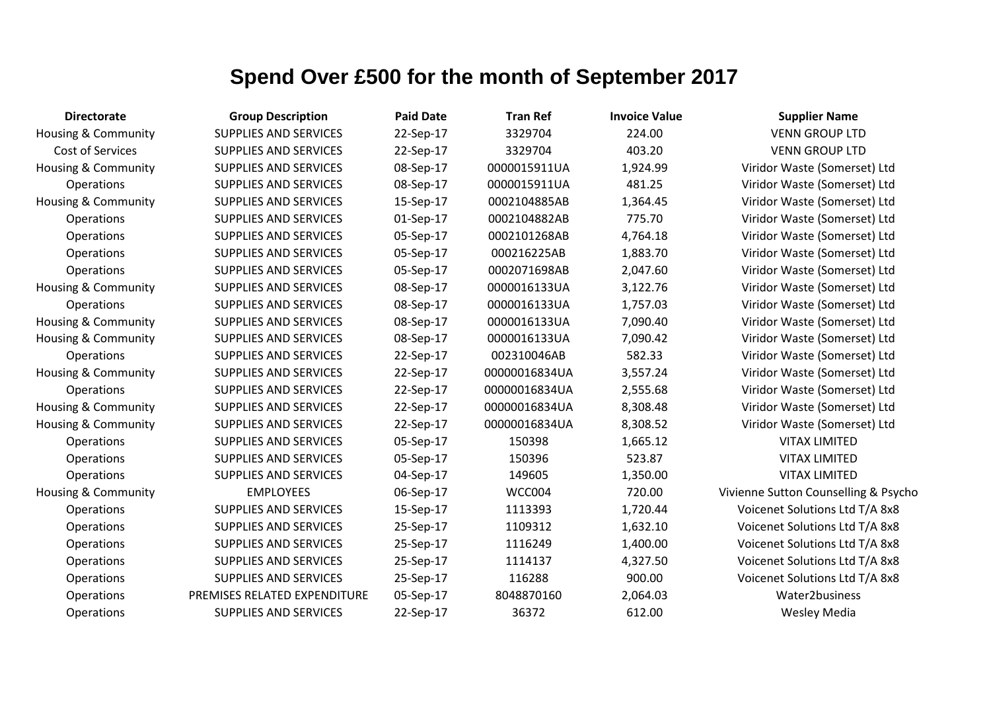| <b>Directorate</b>             | <b>Group Description</b>     | <b>Paid Date</b> | <b>Tran Ref</b> | <b>Invoice Value</b> | <b>Supplier Name</b>                 |
|--------------------------------|------------------------------|------------------|-----------------|----------------------|--------------------------------------|
| Housing & Community            | <b>SUPPLIES AND SERVICES</b> | 22-Sep-17        | 3329704         | 224.00               | <b>VENN GROUP LTD</b>                |
| Cost of Services               | <b>SUPPLIES AND SERVICES</b> | 22-Sep-17        | 3329704         | 403.20               | <b>VENN GROUP LTD</b>                |
| Housing & Community            | <b>SUPPLIES AND SERVICES</b> | 08-Sep-17        | 0000015911UA    | 1,924.99             | Viridor Waste (Somerset) Ltd         |
| Operations                     | <b>SUPPLIES AND SERVICES</b> | 08-Sep-17        | 0000015911UA    | 481.25               | Viridor Waste (Somerset) Ltd         |
| Housing & Community            | <b>SUPPLIES AND SERVICES</b> | 15-Sep-17        | 0002104885AB    | 1,364.45             | Viridor Waste (Somerset) Ltd         |
| Operations                     | <b>SUPPLIES AND SERVICES</b> | 01-Sep-17        | 0002104882AB    | 775.70               | Viridor Waste (Somerset) Ltd         |
| Operations                     | <b>SUPPLIES AND SERVICES</b> | 05-Sep-17        | 0002101268AB    | 4,764.18             | Viridor Waste (Somerset) Ltd         |
| Operations                     | <b>SUPPLIES AND SERVICES</b> | 05-Sep-17        | 000216225AB     | 1,883.70             | Viridor Waste (Somerset) Ltd         |
| Operations                     | <b>SUPPLIES AND SERVICES</b> | 05-Sep-17        | 0002071698AB    | 2,047.60             | Viridor Waste (Somerset) Ltd         |
| Housing & Community            | <b>SUPPLIES AND SERVICES</b> | 08-Sep-17        | 0000016133UA    | 3,122.76             | Viridor Waste (Somerset) Ltd         |
| <b>Operations</b>              | <b>SUPPLIES AND SERVICES</b> | 08-Sep-17        | 0000016133UA    | 1,757.03             | Viridor Waste (Somerset) Ltd         |
| Housing & Community            | <b>SUPPLIES AND SERVICES</b> | 08-Sep-17        | 0000016133UA    | 7,090.40             | Viridor Waste (Somerset) Ltd         |
| <b>Housing &amp; Community</b> | <b>SUPPLIES AND SERVICES</b> | 08-Sep-17        | 0000016133UA    | 7,090.42             | Viridor Waste (Somerset) Ltd         |
| Operations                     | <b>SUPPLIES AND SERVICES</b> | 22-Sep-17        | 002310046AB     | 582.33               | Viridor Waste (Somerset) Ltd         |
| Housing & Community            | <b>SUPPLIES AND SERVICES</b> | 22-Sep-17        | 00000016834UA   | 3,557.24             | Viridor Waste (Somerset) Ltd         |
| <b>Operations</b>              | <b>SUPPLIES AND SERVICES</b> | 22-Sep-17        | 00000016834UA   | 2,555.68             | Viridor Waste (Somerset) Ltd         |
| Housing & Community            | <b>SUPPLIES AND SERVICES</b> | 22-Sep-17        | 00000016834UA   | 8,308.48             | Viridor Waste (Somerset) Ltd         |
| <b>Housing &amp; Community</b> | <b>SUPPLIES AND SERVICES</b> | 22-Sep-17        | 00000016834UA   | 8,308.52             | Viridor Waste (Somerset) Ltd         |
| Operations                     | <b>SUPPLIES AND SERVICES</b> | 05-Sep-17        | 150398          | 1,665.12             | <b>VITAX LIMITED</b>                 |
| Operations                     | <b>SUPPLIES AND SERVICES</b> | 05-Sep-17        | 150396          | 523.87               | <b>VITAX LIMITED</b>                 |
| Operations                     | <b>SUPPLIES AND SERVICES</b> | 04-Sep-17        | 149605          | 1,350.00             | <b>VITAX LIMITED</b>                 |
| Housing & Community            | <b>EMPLOYEES</b>             | 06-Sep-17        | WCC004          | 720.00               | Vivienne Sutton Counselling & Psycho |
| Operations                     | <b>SUPPLIES AND SERVICES</b> | 15-Sep-17        | 1113393         | 1,720.44             | Voicenet Solutions Ltd T/A 8x8       |
| Operations                     | <b>SUPPLIES AND SERVICES</b> | 25-Sep-17        | 1109312         | 1,632.10             | Voicenet Solutions Ltd T/A 8x8       |
| Operations                     | <b>SUPPLIES AND SERVICES</b> | 25-Sep-17        | 1116249         | 1,400.00             | Voicenet Solutions Ltd T/A 8x8       |
| Operations                     | <b>SUPPLIES AND SERVICES</b> | 25-Sep-17        | 1114137         | 4,327.50             | Voicenet Solutions Ltd T/A 8x8       |
| Operations                     | <b>SUPPLIES AND SERVICES</b> | 25-Sep-17        | 116288          | 900.00               | Voicenet Solutions Ltd T/A 8x8       |
| Operations                     | PREMISES RELATED EXPENDITURE | 05-Sep-17        | 8048870160      | 2,064.03             | Water2business                       |
| Operations                     | <b>SUPPLIES AND SERVICES</b> | 22-Sep-17        | 36372           | 612.00               | <b>Wesley Media</b>                  |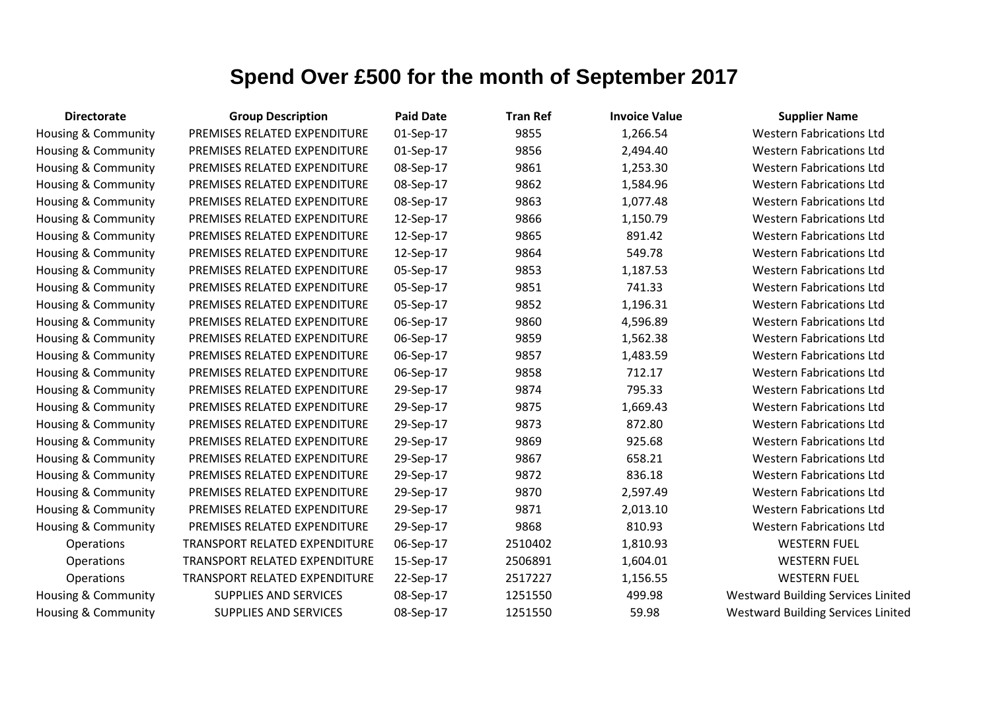| <b>Directorate</b>             | <b>Group Description</b>      | <b>Paid Date</b> | <b>Tran Ref</b> | <b>Invoice Value</b> | <b>Supplier Name</b>                      |
|--------------------------------|-------------------------------|------------------|-----------------|----------------------|-------------------------------------------|
| <b>Housing &amp; Community</b> | PREMISES RELATED EXPENDITURE  | 01-Sep-17        | 9855            | 1,266.54             | <b>Western Fabrications Ltd</b>           |
| Housing & Community            | PREMISES RELATED EXPENDITURE  | 01-Sep-17        | 9856            | 2,494.40             | <b>Western Fabrications Ltd</b>           |
| Housing & Community            | PREMISES RELATED EXPENDITURE  | 08-Sep-17        | 9861            | 1,253.30             | <b>Western Fabrications Ltd</b>           |
| Housing & Community            | PREMISES RELATED EXPENDITURE  | 08-Sep-17        | 9862            | 1,584.96             | <b>Western Fabrications Ltd</b>           |
| Housing & Community            | PREMISES RELATED EXPENDITURE  | 08-Sep-17        | 9863            | 1,077.48             | <b>Western Fabrications Ltd</b>           |
| Housing & Community            | PREMISES RELATED EXPENDITURE  | 12-Sep-17        | 9866            | 1,150.79             | <b>Western Fabrications Ltd</b>           |
| Housing & Community            | PREMISES RELATED EXPENDITURE  | 12-Sep-17        | 9865            | 891.42               | <b>Western Fabrications Ltd</b>           |
| Housing & Community            | PREMISES RELATED EXPENDITURE  | 12-Sep-17        | 9864            | 549.78               | <b>Western Fabrications Ltd</b>           |
| Housing & Community            | PREMISES RELATED EXPENDITURE  | 05-Sep-17        | 9853            | 1,187.53             | <b>Western Fabrications Ltd</b>           |
| Housing & Community            | PREMISES RELATED EXPENDITURE  | 05-Sep-17        | 9851            | 741.33               | <b>Western Fabrications Ltd</b>           |
| Housing & Community            | PREMISES RELATED EXPENDITURE  | 05-Sep-17        | 9852            | 1,196.31             | <b>Western Fabrications Ltd</b>           |
| Housing & Community            | PREMISES RELATED EXPENDITURE  | 06-Sep-17        | 9860            | 4,596.89             | <b>Western Fabrications Ltd</b>           |
| Housing & Community            | PREMISES RELATED EXPENDITURE  | 06-Sep-17        | 9859            | 1,562.38             | <b>Western Fabrications Ltd</b>           |
| Housing & Community            | PREMISES RELATED EXPENDITURE  | 06-Sep-17        | 9857            | 1,483.59             | <b>Western Fabrications Ltd</b>           |
| Housing & Community            | PREMISES RELATED EXPENDITURE  | 06-Sep-17        | 9858            | 712.17               | <b>Western Fabrications Ltd</b>           |
| Housing & Community            | PREMISES RELATED EXPENDITURE  | 29-Sep-17        | 9874            | 795.33               | <b>Western Fabrications Ltd</b>           |
| Housing & Community            | PREMISES RELATED EXPENDITURE  | 29-Sep-17        | 9875            | 1,669.43             | <b>Western Fabrications Ltd</b>           |
| Housing & Community            | PREMISES RELATED EXPENDITURE  | 29-Sep-17        | 9873            | 872.80               | <b>Western Fabrications Ltd</b>           |
| Housing & Community            | PREMISES RELATED EXPENDITURE  | 29-Sep-17        | 9869            | 925.68               | <b>Western Fabrications Ltd</b>           |
| Housing & Community            | PREMISES RELATED EXPENDITURE  | 29-Sep-17        | 9867            | 658.21               | <b>Western Fabrications Ltd</b>           |
| Housing & Community            | PREMISES RELATED EXPENDITURE  | 29-Sep-17        | 9872            | 836.18               | <b>Western Fabrications Ltd</b>           |
| Housing & Community            | PREMISES RELATED EXPENDITURE  | 29-Sep-17        | 9870            | 2,597.49             | <b>Western Fabrications Ltd</b>           |
| Housing & Community            | PREMISES RELATED EXPENDITURE  | 29-Sep-17        | 9871            | 2,013.10             | <b>Western Fabrications Ltd</b>           |
| Housing & Community            | PREMISES RELATED EXPENDITURE  | 29-Sep-17        | 9868            | 810.93               | <b>Western Fabrications Ltd</b>           |
| <b>Operations</b>              | TRANSPORT RELATED EXPENDITURE | 06-Sep-17        | 2510402         | 1,810.93             | <b>WESTERN FUEL</b>                       |
| <b>Operations</b>              | TRANSPORT RELATED EXPENDITURE | 15-Sep-17        | 2506891         | 1,604.01             | <b>WESTERN FUEL</b>                       |
| Operations                     | TRANSPORT RELATED EXPENDITURE | 22-Sep-17        | 2517227         | 1,156.55             | <b>WESTERN FUEL</b>                       |
| Housing & Community            | SUPPLIES AND SERVICES         | 08-Sep-17        | 1251550         | 499.98               | <b>Westward Building Services Linited</b> |
| Housing & Community            | <b>SUPPLIES AND SERVICES</b>  | 08-Sep-17        | 1251550         | 59.98                | <b>Westward Building Services Linited</b> |